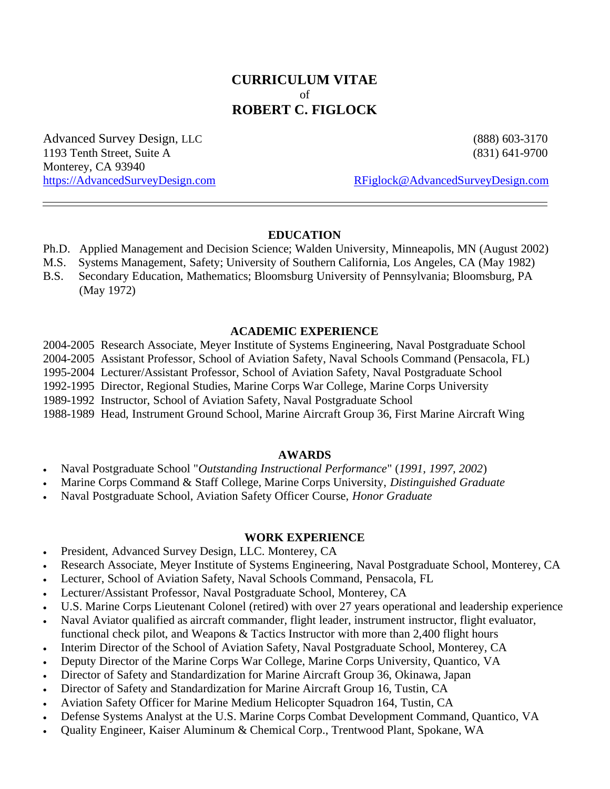# **CURRICULUM VITAE** of **ROBERT C. FIGLOCK**

Advanced Survey Design, LLC (888) 603-3170 1193 Tenth Street, Suite A (831) 641-9700 Monterey, CA 93940

https://AdvancedSurveyDesign.com RFiglock@AdvancedSurveyDesign.com

### **EDUCATION**

- Ph.D. Applied Management and Decision Science; Walden University, Minneapolis, MN (August 2002)
- M.S. Systems Management, Safety; University of Southern California, Los Angeles, CA (May 1982)
- B.S. Secondary Education, Mathematics; Bloomsburg University of Pennsylvania; Bloomsburg, PA (May 1972)

### **ACADEMIC EXPERIENCE**

2004-2005 Research Associate, Meyer Institute of Systems Engineering, Naval Postgraduate School

2004-2005 Assistant Professor, School of Aviation Safety, Naval Schools Command (Pensacola, FL)

1995-2004 Lecturer/Assistant Professor, School of Aviation Safety, Naval Postgraduate School

1992-1995 Director, Regional Studies, Marine Corps War College, Marine Corps University

1989-1992 Instructor, School of Aviation Safety, Naval Postgraduate School

1988-1989 Head, Instrument Ground School, Marine Aircraft Group 36, First Marine Aircraft Wing

#### **AWARDS**

� Naval Postgraduate School "*Outstanding Instructional Performance*" (*1991, 1997, 2002*)

� Marine Corps Command & Staff College, Marine Corps University, *Distinguished Graduate*

� Naval Postgraduate School, Aviation Safety Officer Course, *Honor Graduate*

### **WORK EXPERIENCE**

- � President, Advanced Survey Design, LLC. Monterey, CA
- Research Associate, Meyer Institute of Systems Engineering, Naval Postgraduate School, Monterey, CA
- � Lecturer, School of Aviation Safety, Naval Schools Command, Pensacola, FL
- � Lecturer/Assistant Professor, Naval Postgraduate School, Monterey, CA
- U.S. Marine Corps Lieutenant Colonel (retired) with over 27 years operational and leadership experience
- Naval Aviator qualified as aircraft commander, flight leader, instrument instructor, flight evaluator, functional check pilot, and Weapons & Tactics Instructor with more than 2,400 flight hours
- Interim Director of the School of Aviation Safety, Naval Postgraduate School, Monterey, CA
- � Deputy Director of the Marine Corps War College, Marine Corps University, Quantico, VA
- Director of Safety and Standardization for Marine Aircraft Group 36, Okinawa, Japan
- � Director of Safety and Standardization for Marine Aircraft Group 16, Tustin, CA
- � Aviation Safety Officer for Marine Medium Helicopter Squadron 164, Tustin, CA
- � Defense Systems Analyst at the U.S. Marine Corps Combat Development Command, Quantico, VA
- � Quality Engineer, Kaiser Aluminum & Chemical Corp., Trentwood Plant, Spokane, WA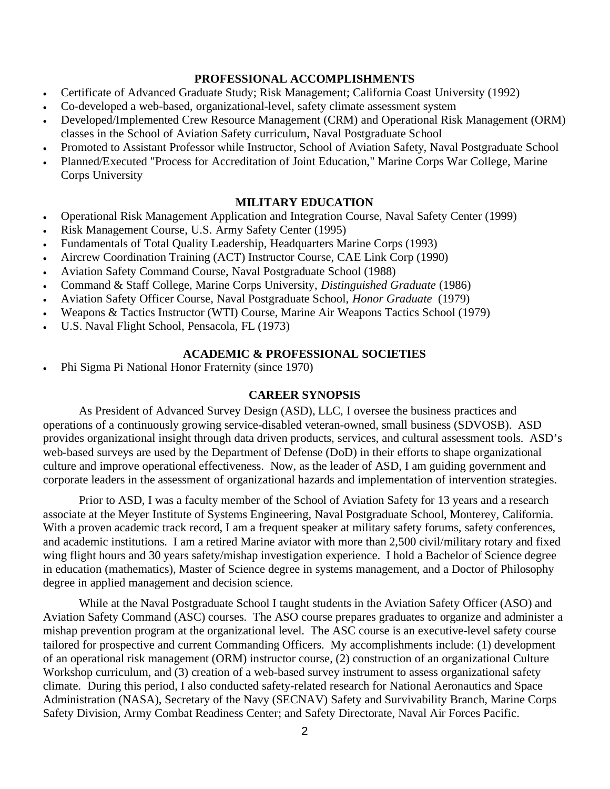### **PROFESSIONAL ACCOMPLISHMENTS**

- Certificate of Advanced Graduate Study; Risk Management; California Coast University (1992)
- � Co-developed a web-based, organizational-level, safety climate assessment system
- Developed/Implemented Crew Resource Management (CRM) and Operational Risk Management (ORM) classes in the School of Aviation Safety curriculum, Naval Postgraduate School
- � Promoted to Assistant Professor while Instructor, School of Aviation Safety, Naval Postgraduate School
- � Planned/Executed "Process for Accreditation of Joint Education," Marine Corps War College, Marine Corps University

### **MILITARY EDUCATION**

- Operational Risk Management Application and Integration Course, Naval Safety Center (1999)
- � Risk Management Course, U.S. Army Safety Center (1995)
- Fundamentals of Total Quality Leadership, Headquarters Marine Corps (1993)
- � Aircrew Coordination Training (ACT) Instructor Course, CAE Link Corp (1990)
- � Aviation Safety Command Course, Naval Postgraduate School (1988)
- � Command & Staff College, Marine Corps University, *Distinguished Graduate* (1986)
- � Aviation Safety Officer Course, Naval Postgraduate School, *Honor Graduate* (1979)
- � Weapons & Tactics Instructor (WTI) Course, Marine Air Weapons Tactics School (1979)
- � U.S. Naval Flight School, Pensacola, FL (1973)

#### **ACADEMIC & PROFESSIONAL SOCIETIES**

� Phi Sigma Pi National Honor Fraternity (since 1970)

### **CAREER SYNOPSIS**

As President of Advanced Survey Design (ASD), LLC, I oversee the business practices and operations of a continuously growing service-disabled veteran-owned, small business (SDVOSB). ASD provides organizational insight through data driven products, services, and cultural assessment tools. ASD's web-based surveys are used by the Department of Defense (DoD) in their efforts to shape organizational culture and improve operational effectiveness. Now, as the leader of ASD, I am guiding government and corporate leaders in the assessment of organizational hazards and implementation of intervention strategies.

Prior to ASD, I was a faculty member of the School of Aviation Safety for 13 years and a research associate at the Meyer Institute of Systems Engineering, Naval Postgraduate School, Monterey, California. With a proven academic track record, I am a frequent speaker at military safety forums, safety conferences, and academic institutions. I am a retired Marine aviator with more than 2,500 civil/military rotary and fixed wing flight hours and 30 years safety/mishap investigation experience. I hold a Bachelor of Science degree in education (mathematics), Master of Science degree in systems management, and a Doctor of Philosophy degree in applied management and decision science.

While at the Naval Postgraduate School I taught students in the Aviation Safety Officer (ASO) and Aviation Safety Command (ASC) courses. The ASO course prepares graduates to organize and administer a mishap prevention program at the organizational level. The ASC course is an executive-level safety course tailored for prospective and current Commanding Officers. My accomplishments include: (1) development of an operational risk management (ORM) instructor course, (2) construction of an organizational Culture Workshop curriculum, and (3) creation of a web-based survey instrument to assess organizational safety climate. During this period, I also conducted safety-related research for National Aeronautics and Space Administration (NASA), Secretary of the Navy (SECNAV) Safety and Survivability Branch, Marine Corps Safety Division, Army Combat Readiness Center; and Safety Directorate, Naval Air Forces Pacific.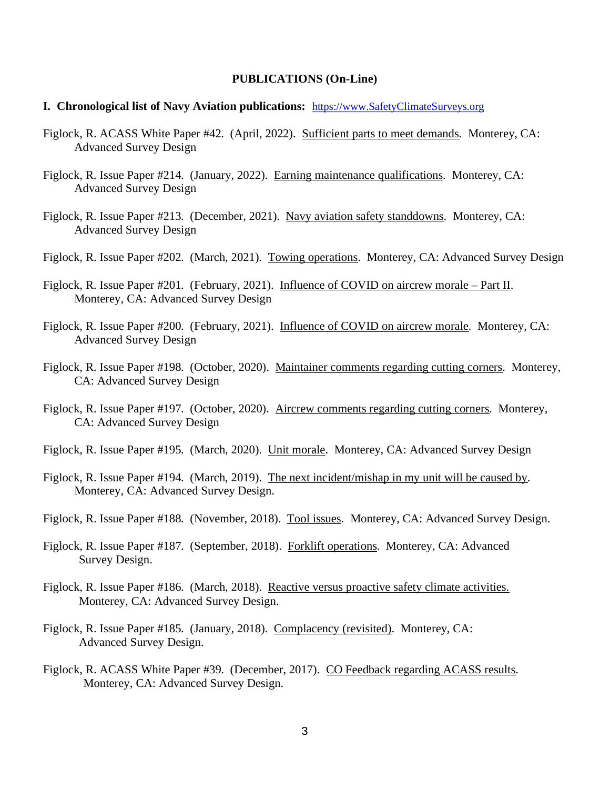#### **PUBLICATIONS (On-Line)**

- **I. Chronological list of Navy Aviation publications:** https://www.SafetyClimateSurveys.org
- Figlock, R. ACASS White Paper #42. (April, 2022). Sufficient parts to meet demands. Monterey, CA: Advanced Survey Design
- Figlock, R. Issue Paper #214. (January, 2022). Earning maintenance qualifications. Monterey, CA: Advanced Survey Design
- Figlock, R. Issue Paper #213. (December, 2021). Navy aviation safety standdowns. Monterey, CA: Advanced Survey Design
- Figlock, R. Issue Paper #202. (March, 2021). Towing operations. Monterey, CA: Advanced Survey Design
- Figlock, R. Issue Paper #201. (February, 2021). Influence of COVID on aircrew morale Part II. Monterey, CA: Advanced Survey Design
- Figlock, R. Issue Paper #200. (February, 2021). Influence of COVID on aircrew morale. Monterey, CA: Advanced Survey Design
- Figlock, R. Issue Paper #198. (October, 2020). Maintainer comments regarding cutting corners. Monterey, CA: Advanced Survey Design
- Figlock, R. Issue Paper #197. (October, 2020). Aircrew comments regarding cutting corners. Monterey, CA: Advanced Survey Design
- Figlock, R. Issue Paper #195. (March, 2020). Unit morale. Monterey, CA: Advanced Survey Design
- Figlock, R. Issue Paper #194. (March, 2019). The next incident/mishap in my unit will be caused by. Monterey, CA: Advanced Survey Design.
- Figlock, R. Issue Paper #188. (November, 2018). Tool issues. Monterey, CA: Advanced Survey Design.
- Figlock, R. Issue Paper #187. (September, 2018). Forklift operations. Monterey, CA: Advanced Survey Design.
- Figlock, R. Issue Paper #186. (March, 2018). Reactive versus proactive safety climate activities. Monterey, CA: Advanced Survey Design.
- Figlock, R. Issue Paper #185. (January, 2018). Complacency (revisited). Monterey, CA: Advanced Survey Design.
- Figlock, R. ACASS White Paper #39. (December, 2017). CO Feedback regarding ACASS results. Monterey, CA: Advanced Survey Design.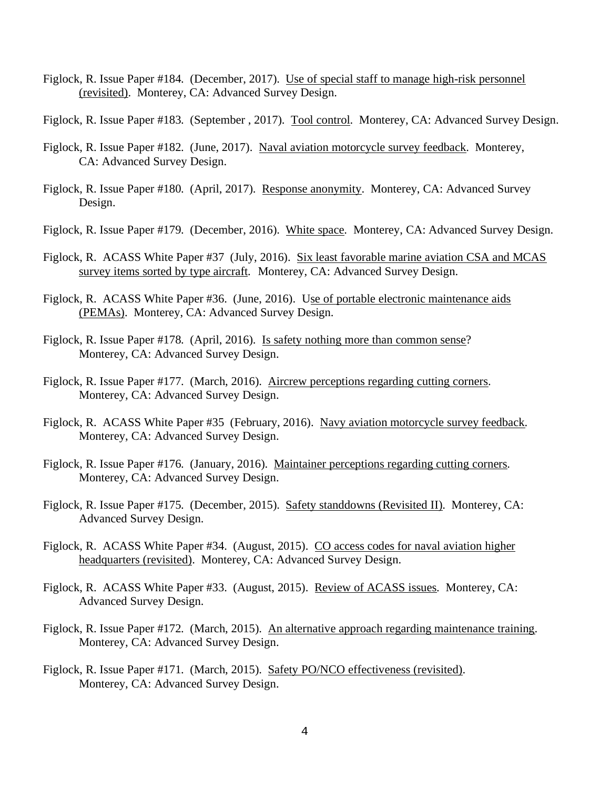- Figlock, R. Issue Paper #184. (December, 2017). Use of special staff to manage high-risk personnel (revisited). Monterey, CA: Advanced Survey Design.
- Figlock, R. Issue Paper #183. (September, 2017). Tool control. Monterey, CA: Advanced Survey Design.
- Figlock, R. Issue Paper #182. (June, 2017). Naval aviation motorcycle survey feedback. Monterey, CA: Advanced Survey Design.
- Figlock, R. Issue Paper #180. (April, 2017). Response anonymity. Monterey, CA: Advanced Survey Design.
- Figlock, R. Issue Paper #179. (December, 2016). White space. Monterey, CA: Advanced Survey Design.
- Figlock, R. ACASS White Paper #37 (July, 2016). Six least favorable marine aviation CSA and MCAS survey items sorted by type aircraft. Monterey, CA: Advanced Survey Design.
- Figlock, R. ACASS White Paper #36. (June, 2016). Use of portable electronic maintenance aids (PEMAs). Monterey, CA: Advanced Survey Design.
- Figlock, R. Issue Paper #178. (April, 2016). Is safety nothing more than common sense? Monterey, CA: Advanced Survey Design.
- Figlock, R. Issue Paper #177. (March, 2016). Aircrew perceptions regarding cutting corners. Monterey, CA: Advanced Survey Design.
- Figlock, R. ACASS White Paper #35 (February, 2016). Navy aviation motorcycle survey feedback. Monterey, CA: Advanced Survey Design.
- Figlock, R. Issue Paper #176. (January, 2016). Maintainer perceptions regarding cutting corners. Monterey, CA: Advanced Survey Design.
- Figlock, R. Issue Paper #175. (December, 2015). Safety standdowns (Revisited II). Monterey, CA: Advanced Survey Design.
- Figlock, R. ACASS White Paper #34. (August, 2015). CO access codes for naval aviation higher headquarters (revisited). Monterey, CA: Advanced Survey Design.
- Figlock, R. ACASS White Paper #33. (August, 2015). Review of ACASS issues. Monterey, CA: Advanced Survey Design.
- Figlock, R. Issue Paper #172. (March, 2015). An alternative approach regarding maintenance training. Monterey, CA: Advanced Survey Design.
- Figlock, R. Issue Paper #171. (March, 2015). Safety PO/NCO effectiveness (revisited). Monterey, CA: Advanced Survey Design.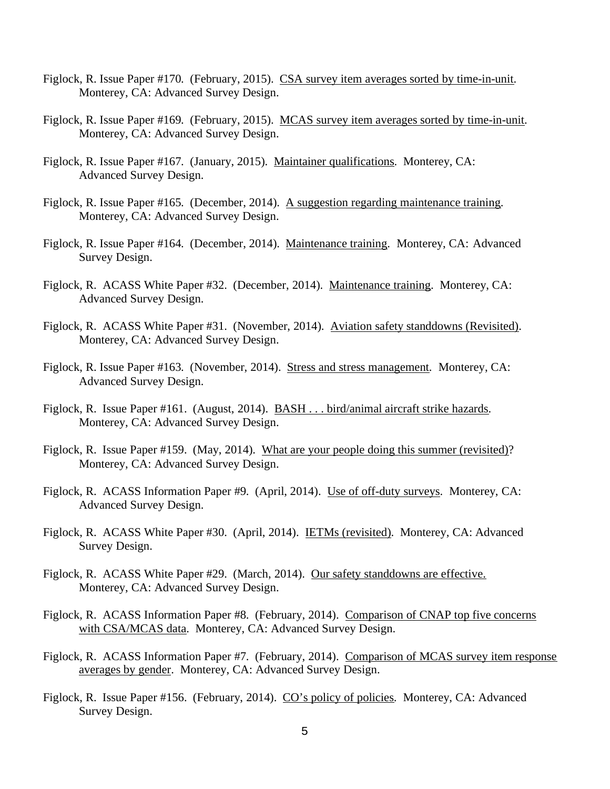- Figlock, R. Issue Paper #170. (February, 2015). CSA survey item averages sorted by time-in-unit. Monterey, CA: Advanced Survey Design.
- Figlock, R. Issue Paper #169. (February, 2015). MCAS survey item averages sorted by time-in-unit. Monterey, CA: Advanced Survey Design.
- Figlock, R. Issue Paper #167. (January, 2015). Maintainer qualifications. Monterey, CA: Advanced Survey Design.
- Figlock, R. Issue Paper #165. (December, 2014). A suggestion regarding maintenance training. Monterey, CA: Advanced Survey Design.
- Figlock, R. Issue Paper #164. (December, 2014). Maintenance training. Monterey, CA: Advanced Survey Design.
- Figlock, R. ACASS White Paper #32. (December, 2014). Maintenance training. Monterey, CA: Advanced Survey Design.
- Figlock, R. ACASS White Paper #31. (November, 2014). Aviation safety standdowns (Revisited). Monterey, CA: Advanced Survey Design.
- Figlock, R. Issue Paper #163. (November, 2014). Stress and stress management. Monterey, CA: Advanced Survey Design.
- Figlock, R. Issue Paper #161. (August, 2014). BASH . . . bird/animal aircraft strike hazards. Monterey, CA: Advanced Survey Design.
- Figlock, R. Issue Paper #159. (May, 2014). What are your people doing this summer (revisited)? Monterey, CA: Advanced Survey Design.
- Figlock, R. ACASS Information Paper #9. (April, 2014). Use of off-duty surveys. Monterey, CA: Advanced Survey Design.
- Figlock, R. ACASS White Paper #30. (April, 2014). IETMs (revisited). Monterey, CA: Advanced Survey Design.
- Figlock, R. ACASS White Paper #29. (March, 2014). Our safety standdowns are effective. Monterey, CA: Advanced Survey Design.
- Figlock, R. ACASS Information Paper #8. (February, 2014). Comparison of CNAP top five concerns with CSA/MCAS data. Monterey, CA: Advanced Survey Design.
- Figlock, R. ACASS Information Paper #7. (February, 2014). Comparison of MCAS survey item response averages by gender. Monterey, CA: Advanced Survey Design.
- Figlock, R. Issue Paper #156. (February, 2014). CO's policy of policies. Monterey, CA: Advanced Survey Design.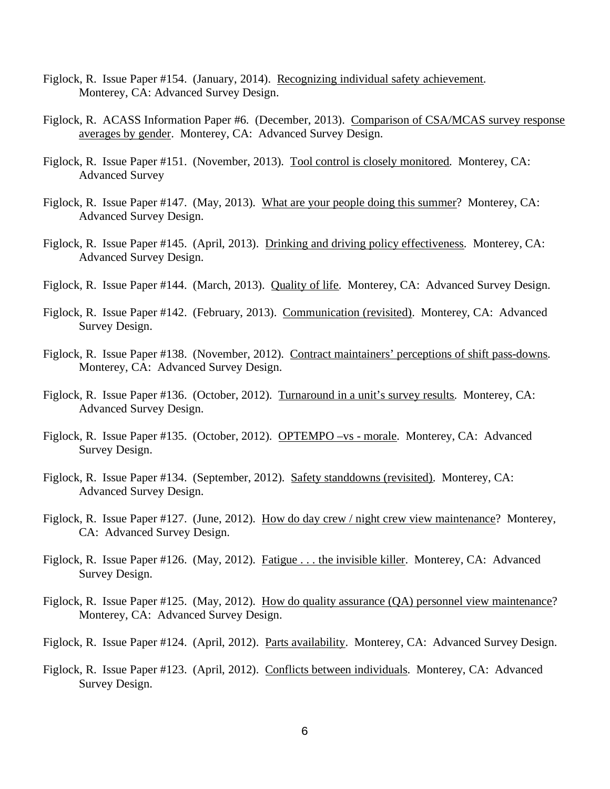- Figlock, R. Issue Paper #154. (January, 2014). Recognizing individual safety achievement. Monterey, CA: Advanced Survey Design.
- Figlock, R. ACASS Information Paper #6. (December, 2013). Comparison of CSA/MCAS survey response averages by gender. Monterey, CA: Advanced Survey Design.
- Figlock, R. Issue Paper #151. (November, 2013). Tool control is closely monitored. Monterey, CA: Advanced Survey
- Figlock, R. Issue Paper #147. (May, 2013). What are your people doing this summer? Monterey, CA: Advanced Survey Design.
- Figlock, R. Issue Paper #145. (April, 2013). Drinking and driving policy effectiveness. Monterey, CA: Advanced Survey Design.
- Figlock, R. Issue Paper #144. (March, 2013). Quality of life. Monterey, CA: Advanced Survey Design.
- Figlock, R. Issue Paper #142. (February, 2013). Communication (revisited). Monterey, CA: Advanced Survey Design.
- Figlock, R. Issue Paper #138. (November, 2012). Contract maintainers' perceptions of shift pass-downs. Monterey, CA: Advanced Survey Design.
- Figlock, R. Issue Paper #136. (October, 2012). Turnaround in a unit's survey results. Monterey, CA: Advanced Survey Design.
- Figlock, R. Issue Paper #135. (October, 2012). OPTEMPO –vs morale. Monterey, CA: Advanced Survey Design.
- Figlock, R. Issue Paper #134. (September, 2012). Safety standdowns (revisited). Monterey, CA: Advanced Survey Design.
- Figlock, R. Issue Paper #127. (June, 2012). How do day crew / night crew view maintenance? Monterey, CA: Advanced Survey Design.
- Figlock, R. Issue Paper #126. (May, 2012). Fatigue . . . the invisible killer. Monterey, CA: Advanced Survey Design.
- Figlock, R. Issue Paper #125. (May, 2012). How do quality assurance (QA) personnel view maintenance? Monterey, CA: Advanced Survey Design.
- Figlock, R. Issue Paper #124. (April, 2012). Parts availability. Monterey, CA: Advanced Survey Design.
- Figlock, R. Issue Paper #123. (April, 2012). Conflicts between individuals. Monterey, CA: Advanced Survey Design.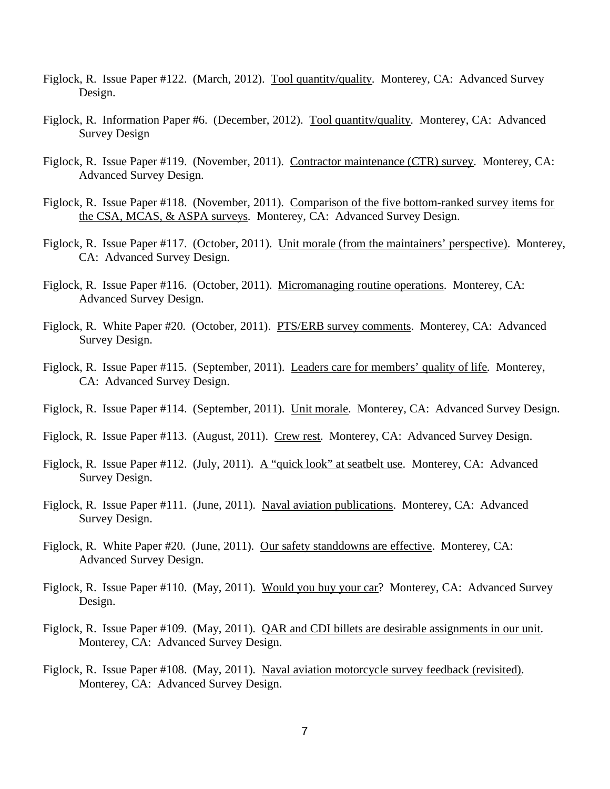- Figlock, R. Issue Paper #122. (March, 2012). Tool quantity/quality. Monterey, CA: Advanced Survey Design.
- Figlock, R. Information Paper #6. (December, 2012). Tool quantity/quality. Monterey, CA: Advanced Survey Design
- Figlock, R. Issue Paper #119. (November, 2011). Contractor maintenance (CTR) survey. Monterey, CA: Advanced Survey Design.
- Figlock, R. Issue Paper #118. (November, 2011). Comparison of the five bottom-ranked survey items for the CSA, MCAS, & ASPA surveys. Monterey, CA: Advanced Survey Design.
- Figlock, R. Issue Paper #117. (October, 2011). Unit morale (from the maintainers' perspective). Monterey, CA: Advanced Survey Design.
- Figlock, R. Issue Paper #116. (October, 2011). Micromanaging routine operations. Monterey, CA: Advanced Survey Design.
- Figlock, R. White Paper #20. (October, 2011). PTS/ERB survey comments. Monterey, CA: Advanced Survey Design.
- Figlock, R. Issue Paper #115. (September, 2011). Leaders care for members' quality of life. Monterey, CA: Advanced Survey Design.
- Figlock, R. Issue Paper #114. (September, 2011). Unit morale. Monterey, CA: Advanced Survey Design.
- Figlock, R. Issue Paper #113. (August, 2011). Crew rest. Monterey, CA: Advanced Survey Design.
- Figlock, R. Issue Paper #112. (July, 2011). A "quick look" at seatbelt use. Monterey, CA: Advanced Survey Design.
- Figlock, R. Issue Paper #111. (June, 2011). Naval aviation publications. Monterey, CA: Advanced Survey Design.
- Figlock, R. White Paper #20. (June, 2011). Our safety standdowns are effective. Monterey, CA: Advanced Survey Design.
- Figlock, R. Issue Paper #110. (May, 2011). Would you buy your car? Monterey, CA: Advanced Survey Design.
- Figlock, R. Issue Paper #109. (May, 2011). QAR and CDI billets are desirable assignments in our unit. Monterey, CA: Advanced Survey Design.
- Figlock, R. Issue Paper #108. (May, 2011). Naval aviation motorcycle survey feedback (revisited). Monterey, CA: Advanced Survey Design.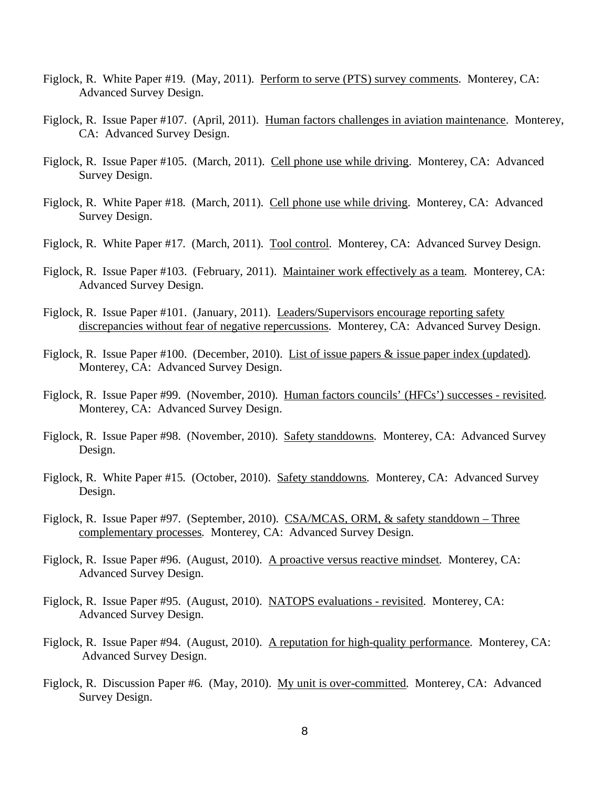- Figlock, R. White Paper #19. (May, 2011). Perform to serve (PTS) survey comments. Monterey, CA: Advanced Survey Design.
- Figlock, R. Issue Paper #107. (April, 2011). Human factors challenges in aviation maintenance. Monterey, CA: Advanced Survey Design.
- Figlock, R. Issue Paper #105. (March, 2011). Cell phone use while driving. Monterey, CA: Advanced Survey Design.
- Figlock, R. White Paper #18. (March, 2011). Cell phone use while driving. Monterey, CA: Advanced Survey Design.
- Figlock, R. White Paper #17. (March, 2011). Tool control. Monterey, CA: Advanced Survey Design.
- Figlock, R. Issue Paper #103. (February, 2011). Maintainer work effectively as a team. Monterey, CA: Advanced Survey Design.
- Figlock, R. Issue Paper #101. (January, 2011). Leaders/Supervisors encourage reporting safety discrepancies without fear of negative repercussions. Monterey, CA: Advanced Survey Design.
- Figlock, R. Issue Paper #100. (December, 2010). List of issue papers & issue paper index (updated). Monterey, CA: Advanced Survey Design.
- Figlock, R. Issue Paper #99. (November, 2010). Human factors councils' (HFCs') successes revisited. Monterey, CA: Advanced Survey Design.
- Figlock, R. Issue Paper #98. (November, 2010). Safety standdowns. Monterey, CA: Advanced Survey Design.
- Figlock, R. White Paper #15. (October, 2010). Safety standdowns. Monterey, CA: Advanced Survey Design.
- Figlock, R. Issue Paper #97. (September, 2010). CSA/MCAS, ORM, & safety standdown Three complementary processes. Monterey, CA: Advanced Survey Design.
- Figlock, R. Issue Paper #96. (August, 2010). A proactive versus reactive mindset. Monterey, CA: Advanced Survey Design.
- Figlock, R. Issue Paper #95. (August, 2010). NATOPS evaluations revisited. Monterey, CA: Advanced Survey Design.
- Figlock, R. Issue Paper #94. (August, 2010). A reputation for high-quality performance. Monterey, CA: Advanced Survey Design.
- Figlock, R. Discussion Paper #6. (May, 2010). My unit is over-committed. Monterey, CA: Advanced Survey Design.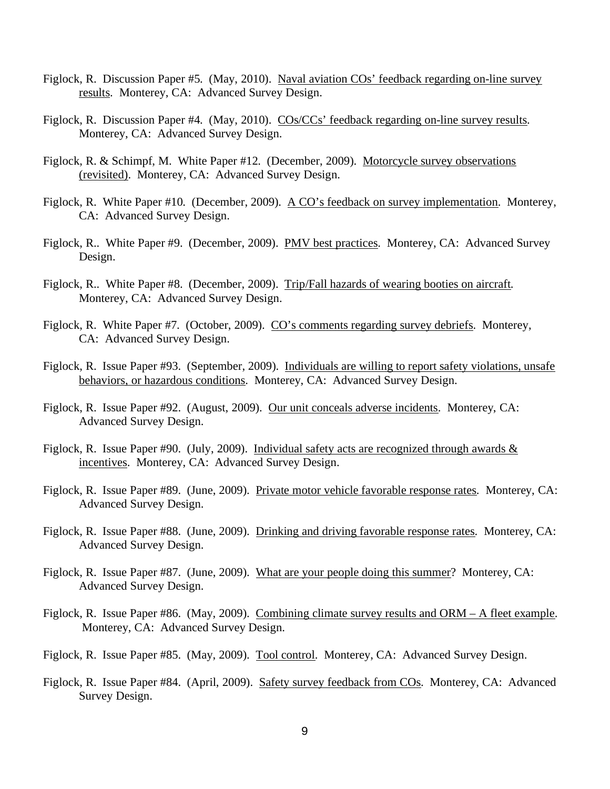- Figlock, R. Discussion Paper #5. (May, 2010). Naval aviation COs' feedback regarding on-line survey results. Monterey, CA: Advanced Survey Design.
- Figlock, R. Discussion Paper #4. (May, 2010). COs/CCs' feedback regarding on-line survey results. Monterey, CA: Advanced Survey Design.
- Figlock, R. & Schimpf, M. White Paper #12. (December, 2009). Motorcycle survey observations (revisited). Monterey, CA: Advanced Survey Design.
- Figlock, R. White Paper #10. (December, 2009). A CO's feedback on survey implementation. Monterey, CA: Advanced Survey Design.
- Figlock, R.. White Paper #9. (December, 2009). PMV best practices. Monterey, CA: Advanced Survey Design.
- Figlock, R.. White Paper #8. (December, 2009). Trip/Fall hazards of wearing booties on aircraft. Monterey, CA: Advanced Survey Design.
- Figlock, R. White Paper #7. (October, 2009). CO's comments regarding survey debriefs. Monterey, CA: Advanced Survey Design.
- Figlock, R. Issue Paper #93. (September, 2009). Individuals are willing to report safety violations, unsafe behaviors, or hazardous conditions. Monterey, CA: Advanced Survey Design.
- Figlock, R. Issue Paper #92. (August, 2009). Our unit conceals adverse incidents. Monterey, CA: Advanced Survey Design.
- Figlock, R. Issue Paper #90. (July, 2009). Individual safety acts are recognized through awards  $&$ incentives. Monterey, CA: Advanced Survey Design.
- Figlock, R. Issue Paper #89. (June, 2009). Private motor vehicle favorable response rates. Monterey, CA: Advanced Survey Design.
- Figlock, R. Issue Paper #88. (June, 2009). Drinking and driving favorable response rates. Monterey, CA: Advanced Survey Design.
- Figlock, R. Issue Paper #87. (June, 2009). What are your people doing this summer? Monterey, CA: Advanced Survey Design.
- Figlock, R. Issue Paper #86. (May, 2009). Combining climate survey results and ORM A fleet example. Monterey, CA: Advanced Survey Design.
- Figlock, R. Issue Paper #85. (May, 2009). Tool control. Monterey, CA: Advanced Survey Design.
- Figlock, R. Issue Paper #84. (April, 2009). Safety survey feedback from COs. Monterey, CA: Advanced Survey Design.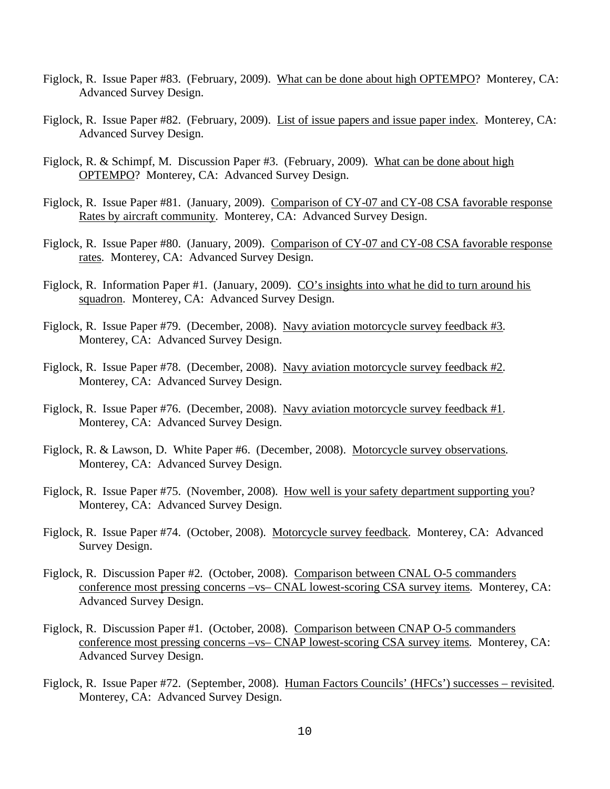- Figlock, R. Issue Paper #83. (February, 2009). What can be done about high OPTEMPO? Monterey, CA: Advanced Survey Design.
- Figlock, R. Issue Paper #82. (February, 2009). List of issue papers and issue paper index. Monterey, CA: Advanced Survey Design.
- Figlock, R. & Schimpf, M. Discussion Paper #3. (February, 2009). What can be done about high OPTEMPO? Monterey, CA: Advanced Survey Design.
- Figlock, R. Issue Paper #81. (January, 2009). Comparison of CY-07 and CY-08 CSA favorable response Rates by aircraft community. Monterey, CA: Advanced Survey Design.
- Figlock, R. Issue Paper #80. (January, 2009). Comparison of CY-07 and CY-08 CSA favorable response rates. Monterey, CA: Advanced Survey Design.
- Figlock, R. Information Paper #1. (January, 2009). CO's insights into what he did to turn around his squadron. Monterey, CA: Advanced Survey Design.
- Figlock, R. Issue Paper #79. (December, 2008). Navy aviation motorcycle survey feedback #3. Monterey, CA: Advanced Survey Design.
- Figlock, R. Issue Paper #78. (December, 2008). Navy aviation motorcycle survey feedback #2. Monterey, CA: Advanced Survey Design.
- Figlock, R. Issue Paper #76. (December, 2008). Navy aviation motorcycle survey feedback #1. Monterey, CA: Advanced Survey Design.
- Figlock, R. & Lawson, D. White Paper #6. (December, 2008). Motorcycle survey observations. Monterey, CA: Advanced Survey Design.
- Figlock, R. Issue Paper #75. (November, 2008). How well is your safety department supporting you? Monterey, CA: Advanced Survey Design.
- Figlock, R. Issue Paper #74. (October, 2008). Motorcycle survey feedback. Monterey, CA: Advanced Survey Design.
- Figlock, R. Discussion Paper #2. (October, 2008). Comparison between CNAL O-5 commanders conference most pressing concerns –vs– CNAL lowest-scoring CSA survey items. Monterey, CA: Advanced Survey Design.
- Figlock, R. Discussion Paper #1. (October, 2008). Comparison between CNAP O-5 commanders conference most pressing concerns –vs– CNAP lowest-scoring CSA survey items. Monterey, CA: Advanced Survey Design.
- Figlock, R. Issue Paper #72. (September, 2008). Human Factors Councils' (HFCs') successes revisited. Monterey, CA: Advanced Survey Design.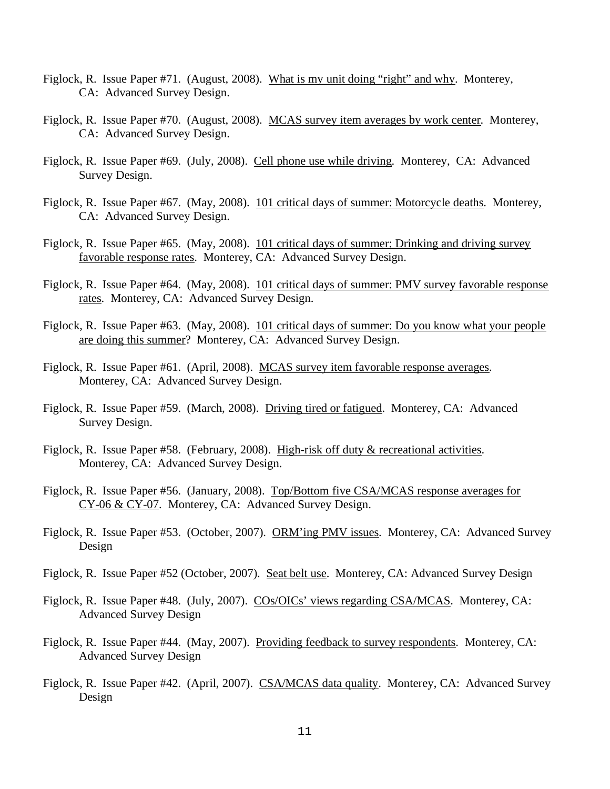- Figlock, R. Issue Paper #71. (August, 2008). What is my unit doing "right" and why. Monterey, CA: Advanced Survey Design.
- Figlock, R. Issue Paper #70. (August, 2008). MCAS survey item averages by work center. Monterey, CA: Advanced Survey Design.
- Figlock, R. Issue Paper #69. (July, 2008). Cell phone use while driving. Monterey, CA: Advanced Survey Design.
- Figlock, R. Issue Paper #67. (May, 2008). 101 critical days of summer: Motorcycle deaths. Monterey, CA: Advanced Survey Design.
- Figlock, R. Issue Paper #65. (May, 2008). 101 critical days of summer: Drinking and driving survey favorable response rates. Monterey, CA: Advanced Survey Design.
- Figlock, R. Issue Paper #64. (May, 2008). 101 critical days of summer: PMV survey favorable response rates. Monterey, CA: Advanced Survey Design.
- Figlock, R. Issue Paper #63. (May, 2008). 101 critical days of summer: Do you know what your people are doing this summer? Monterey, CA: Advanced Survey Design.
- Figlock, R. Issue Paper #61. (April, 2008). MCAS survey item favorable response averages. Monterey, CA: Advanced Survey Design.
- Figlock, R. Issue Paper #59. (March, 2008). Driving tired or fatigued. Monterey, CA: Advanced Survey Design.
- Figlock, R. Issue Paper #58. (February, 2008). High-risk off duty & recreational activities. Monterey, CA: Advanced Survey Design.
- Figlock, R. Issue Paper #56. (January, 2008). Top/Bottom five CSA/MCAS response averages for CY-06 & CY-07. Monterey, CA: Advanced Survey Design.
- Figlock, R. Issue Paper #53. (October, 2007). ORM'ing PMV issues. Monterey, CA: Advanced Survey Design
- Figlock, R. Issue Paper #52 (October, 2007). Seat belt use. Monterey, CA: Advanced Survey Design
- Figlock, R. Issue Paper #48. (July, 2007). COs/OICs' views regarding CSA/MCAS. Monterey, CA: Advanced Survey Design
- Figlock, R. Issue Paper #44. (May, 2007). Providing feedback to survey respondents. Monterey, CA: Advanced Survey Design
- Figlock, R. Issue Paper #42. (April, 2007). CSA/MCAS data quality. Monterey, CA: Advanced Survey Design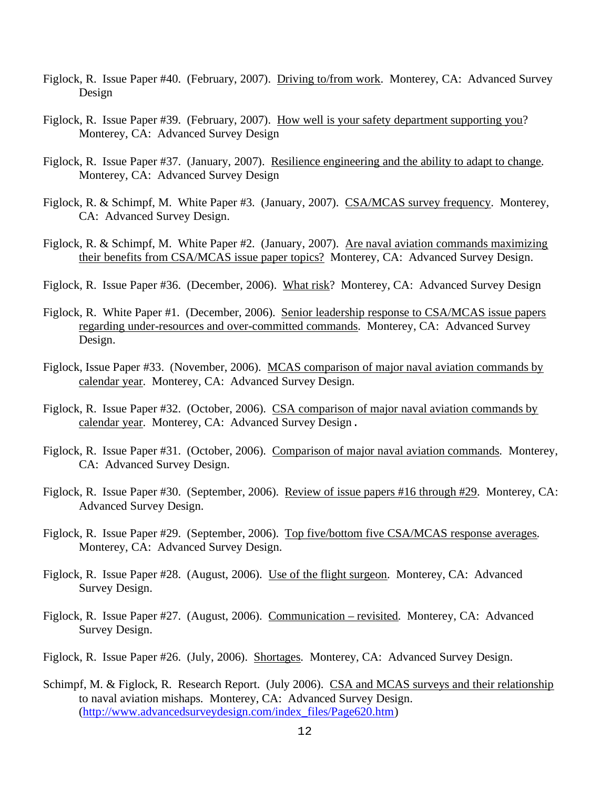- Figlock, R. Issue Paper #40. (February, 2007). Driving to/from work. Monterey, CA: Advanced Survey Design
- Figlock, R. Issue Paper #39. (February, 2007). How well is your safety department supporting you? Monterey, CA: Advanced Survey Design
- Figlock, R. Issue Paper #37. (January, 2007). Resilience engineering and the ability to adapt to change. Monterey, CA: Advanced Survey Design
- Figlock, R. & Schimpf, M. White Paper #3. (January, 2007). CSA/MCAS survey frequency. Monterey, CA: Advanced Survey Design.
- Figlock, R. & Schimpf, M. White Paper #2. (January, 2007). Are naval aviation commands maximizing their benefits from CSA/MCAS issue paper topics? Monterey, CA: Advanced Survey Design.
- Figlock, R. Issue Paper #36. (December, 2006). What risk? Monterey, CA: Advanced Survey Design
- Figlock, R. White Paper #1. (December, 2006). Senior leadership response to CSA/MCAS issue papers regarding under-resources and over-committed commands. Monterey, CA: Advanced Survey Design.
- Figlock, Issue Paper #33. (November, 2006). MCAS comparison of major naval aviation commands by calendar year. Monterey, CA: Advanced Survey Design.
- Figlock, R. Issue Paper #32. (October, 2006). CSA comparison of major naval aviation commands by calendar year. Monterey, CA: Advanced Survey Design.
- Figlock, R. Issue Paper #31. (October, 2006). Comparison of major naval aviation commands. Monterey, CA: Advanced Survey Design.
- Figlock, R. Issue Paper #30. (September, 2006). <u>Review of issue papers #16 through #29</u>. Monterey, CA: Advanced Survey Design.
- Figlock, R. Issue Paper #29. (September, 2006). Top five/bottom five CSA/MCAS response averages. Monterey, CA: Advanced Survey Design.
- Figlock, R. Issue Paper #28. (August, 2006). Use of the flight surgeon. Monterey, CA: Advanced Survey Design.
- Figlock, R. Issue Paper #27. (August, 2006). Communication revisited. Monterey, CA: Advanced Survey Design.
- Figlock, R. Issue Paper #26. (July, 2006). Shortages. Monterey, CA: Advanced Survey Design.
- Schimpf, M. & Figlock, R. Research Report. (July 2006). CSA and MCAS surveys and their relationship to naval aviation mishaps. Monterey, CA: Advanced Survey Design. (http://www.advancedsurveydesign.com/index\_files/Page620.htm)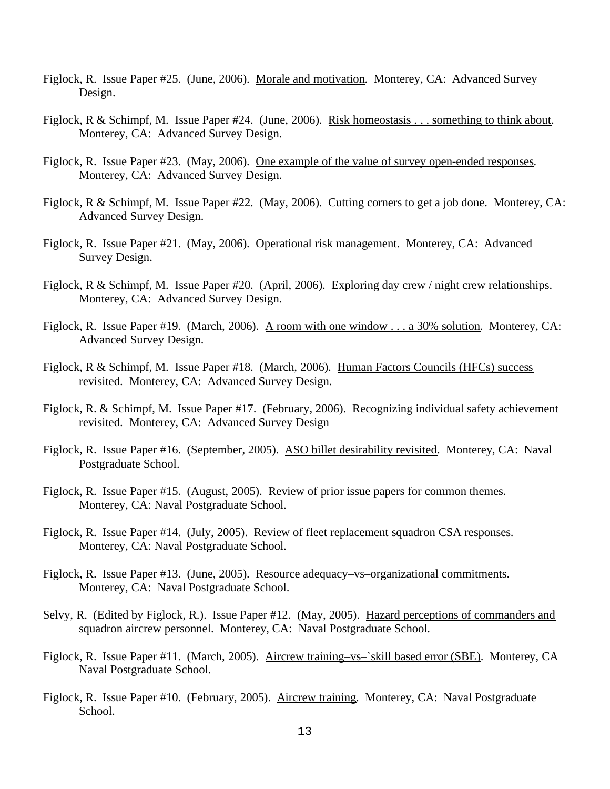- Figlock, R. Issue Paper #25. (June, 2006). Morale and motivation. Monterey, CA: Advanced Survey Design.
- Figlock, R & Schimpf, M. Issue Paper #24. (June, 2006). Risk homeostasis . . . something to think about. Monterey, CA: Advanced Survey Design.
- Figlock, R. Issue Paper #23. (May, 2006). One example of the value of survey open-ended responses. Monterey, CA: Advanced Survey Design.
- Figlock, R & Schimpf, M. Issue Paper #22. (May, 2006). Cutting corners to get a job done. Monterey, CA: Advanced Survey Design.
- Figlock, R. Issue Paper #21. (May, 2006). Operational risk management. Monterey, CA: Advanced Survey Design.
- Figlock, R & Schimpf, M. Issue Paper #20. (April, 2006). Exploring day crew / night crew relationships. Monterey, CA: Advanced Survey Design.
- Figlock, R. Issue Paper #19. (March, 2006). A room with one window . . . a 30% solution. Monterey, CA: Advanced Survey Design.
- Figlock, R & Schimpf, M. Issue Paper #18. (March, 2006). Human Factors Councils (HFCs) success revisited. Monterey, CA: Advanced Survey Design.
- Figlock, R. & Schimpf, M. Issue Paper #17. (February, 2006). Recognizing individual safety achievement revisited. Monterey, CA: Advanced Survey Design
- Figlock, R. Issue Paper #16. (September, 2005). ASO billet desirability revisited. Monterey, CA: Naval Postgraduate School.
- Figlock, R. Issue Paper #15. (August, 2005). <u>Review of prior issue papers for common themes</u>. Monterey, CA: Naval Postgraduate School.
- Figlock, R. Issue Paper #14. (July, 2005). Review of fleet replacement squadron CSA responses. Monterey, CA: Naval Postgraduate School.
- Figlock, R. Issue Paper #13. (June, 2005). Resource adequacy–vs–organizational commitments. Monterey, CA: Naval Postgraduate School.
- Selvy, R. (Edited by Figlock, R.). Issue Paper #12. (May, 2005). Hazard perceptions of commanders and squadron aircrew personnel. Monterey, CA: Naval Postgraduate School.
- Figlock, R. Issue Paper #11. (March, 2005). Aircrew training–vs–`skill based error (SBE). Monterey, CA Naval Postgraduate School.
- Figlock, R. Issue Paper #10. (February, 2005). Aircrew training. Monterey, CA: Naval Postgraduate School.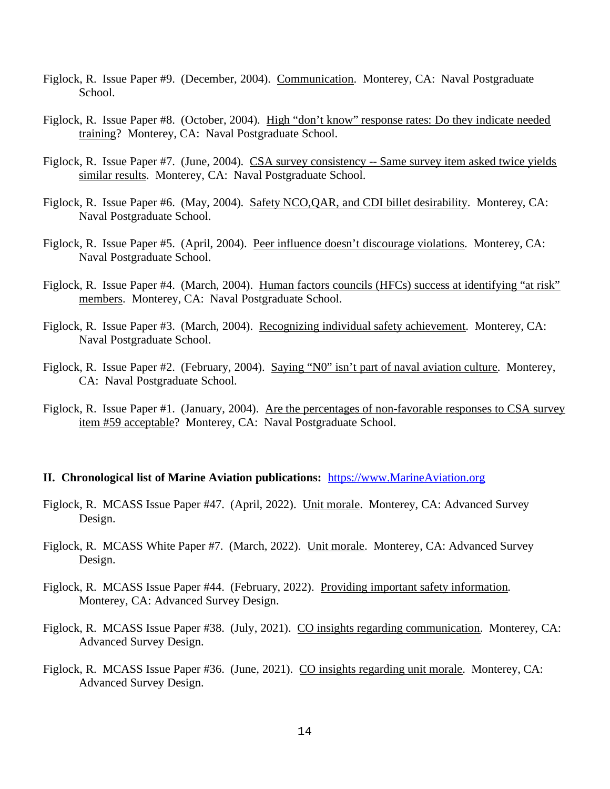- Figlock, R. Issue Paper #9. (December, 2004). Communication. Monterey, CA: Naval Postgraduate School.
- Figlock, R. Issue Paper #8. (October, 2004). High "don't know" response rates: Do they indicate needed training? Monterey, CA: Naval Postgraduate School.
- Figlock, R. Issue Paper #7. (June, 2004). CSA survey consistency -- Same survey item asked twice yields similar results. Monterey, CA: Naval Postgraduate School.
- Figlock, R. Issue Paper #6. (May, 2004). Safety NCO,QAR, and CDI billet desirability. Monterey, CA: Naval Postgraduate School.
- Figlock, R. Issue Paper #5. (April, 2004). Peer influence doesn't discourage violations. Monterey, CA: Naval Postgraduate School.
- Figlock, R. Issue Paper #4. (March, 2004). Human factors councils (HFCs) success at identifying "at risk" members. Monterey, CA: Naval Postgraduate School.
- Figlock, R. Issue Paper #3. (March, 2004). Recognizing individual safety achievement. Monterey, CA: Naval Postgraduate School.
- Figlock, R. Issue Paper #2. (February, 2004). Saying "N0" isn't part of naval aviation culture. Monterey, CA: Naval Postgraduate School.
- Figlock, R. Issue Paper #1. (January, 2004). Are the percentages of non-favorable responses to CSA survey item #59 acceptable? Monterey, CA: Naval Postgraduate School.

### **II. Chronological list of Marine Aviation publications:** https://www.MarineAviation.org

- Figlock, R. MCASS Issue Paper #47. (April, 2022). Unit morale. Monterey, CA: Advanced Survey Design.
- Figlock, R. MCASS White Paper #7. (March, 2022). Unit morale. Monterey, CA: Advanced Survey Design.
- Figlock, R. MCASS Issue Paper #44. (February, 2022). Providing important safety information. Monterey, CA: Advanced Survey Design.
- Figlock, R. MCASS Issue Paper #38. (July, 2021). CO insights regarding communication. Monterey, CA: Advanced Survey Design.
- Figlock, R. MCASS Issue Paper #36. (June, 2021). CO insights regarding unit morale. Monterey, CA: Advanced Survey Design.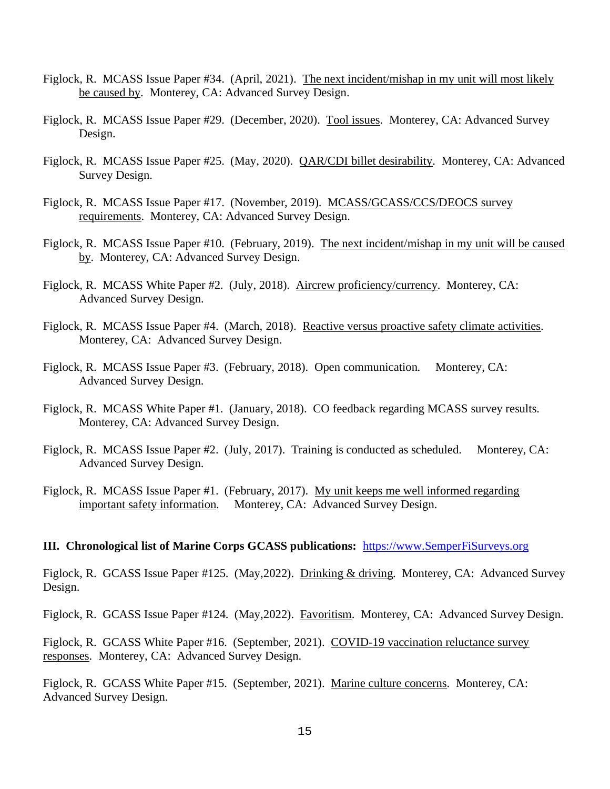- Figlock, R. MCASS Issue Paper #34. (April, 2021). The next incident/mishap in my unit will most likely be caused by. Monterey, CA: Advanced Survey Design.
- Figlock, R. MCASS Issue Paper #29. (December, 2020). Tool issues. Monterey, CA: Advanced Survey Design.
- Figlock, R. MCASS Issue Paper #25. (May, 2020). QAR/CDI billet desirability. Monterey, CA: Advanced Survey Design.
- Figlock, R. MCASS Issue Paper #17. (November, 2019). MCASS/GCASS/CCS/DEOCS survey requirements. Monterey, CA: Advanced Survey Design.
- Figlock, R. MCASS Issue Paper #10. (February, 2019). The next incident/mishap in my unit will be caused by. Monterey, CA: Advanced Survey Design.
- Figlock, R. MCASS White Paper #2. (July, 2018). Aircrew proficiency/currency. Monterey, CA: Advanced Survey Design.
- Figlock, R. MCASS Issue Paper #4. (March, 2018). Reactive versus proactive safety climate activities. Monterey, CA: Advanced Survey Design.
- Figlock, R. MCASS Issue Paper #3. (February, 2018). Open communication. Monterey, CA: Advanced Survey Design.
- Figlock, R. MCASS White Paper #1. (January, 2018). CO feedback regarding MCASS survey results. Monterey, CA: Advanced Survey Design.
- Figlock, R. MCASS Issue Paper #2. (July, 2017). Training is conducted as scheduled. Monterey, CA: Advanced Survey Design.
- Figlock, R. MCASS Issue Paper #1. (February, 2017). My unit keeps me well informed regarding important safety information. Monterey, CA: Advanced Survey Design.

### **III. Chronological list of Marine Corps GCASS publications:** https://www.SemperFiSurveys.org

Figlock, R. GCASS Issue Paper #125. (May, 2022). Drinking & driving. Monterey, CA: Advanced Survey Design.

Figlock, R. GCASS Issue Paper #124. (May, 2022). Favoritism. Monterey, CA: Advanced Survey Design.

Figlock, R. GCASS White Paper #16. (September, 2021). COVID-19 vaccination reluctance survey responses. Monterey, CA: Advanced Survey Design.

Figlock, R. GCASS White Paper #15. (September, 2021). Marine culture concerns. Monterey, CA: Advanced Survey Design.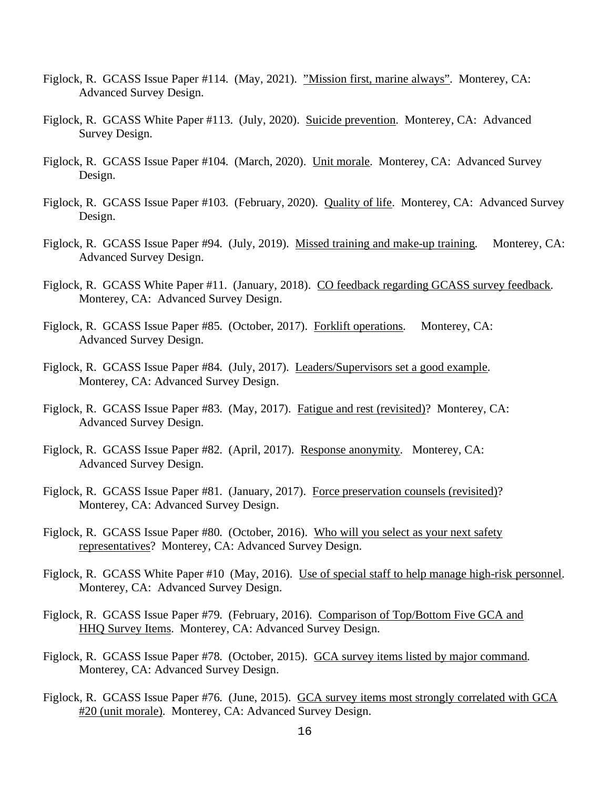- Figlock, R. GCASS Issue Paper #114. (May, 2021). "Mission first, marine always". Monterey, CA: Advanced Survey Design.
- Figlock, R. GCASS White Paper #113. (July, 2020). Suicide prevention. Monterey, CA: Advanced Survey Design.
- Figlock, R. GCASS Issue Paper #104. (March, 2020). Unit morale. Monterey, CA: Advanced Survey Design.
- Figlock, R. GCASS Issue Paper #103. (February, 2020). Quality of life. Monterey, CA: Advanced Survey Design.
- Figlock, R. GCASS Issue Paper #94. (July, 2019). Missed training and make-up training. Monterey, CA: Advanced Survey Design.
- Figlock, R. GCASS White Paper #11. (January, 2018). CO feedback regarding GCASS survey feedback. Monterey, CA: Advanced Survey Design.
- Figlock, R. GCASS Issue Paper #85. (October, 2017). Forklift operations. Monterey, CA: Advanced Survey Design.
- Figlock, R. GCASS Issue Paper #84. (July, 2017). Leaders/Supervisors set a good example. Monterey, CA: Advanced Survey Design.
- Figlock, R. GCASS Issue Paper #83. (May, 2017). Fatigue and rest (revisited)? Monterey, CA: Advanced Survey Design.
- Figlock, R. GCASS Issue Paper #82. (April, 2017). Response anonymity. Monterey, CA: Advanced Survey Design.
- Figlock, R. GCASS Issue Paper #81. (January, 2017). Force preservation counsels (revisited)? Monterey, CA: Advanced Survey Design.
- Figlock, R. GCASS Issue Paper #80. (October, 2016). Who will you select as your next safety representatives? Monterey, CA: Advanced Survey Design.
- Figlock, R. GCASS White Paper #10 (May, 2016). Use of special staff to help manage high-risk personnel. Monterey, CA: Advanced Survey Design.
- Figlock, R. GCASS Issue Paper #79. (February, 2016). Comparison of Top/Bottom Five GCA and HHQ Survey Items. Monterey, CA: Advanced Survey Design.
- Figlock, R. GCASS Issue Paper #78. (October, 2015). GCA survey items listed by major command. Monterey, CA: Advanced Survey Design.
- Figlock, R. GCASS Issue Paper #76. (June, 2015). GCA survey items most strongly correlated with GCA #20 (unit morale). Monterey, CA: Advanced Survey Design.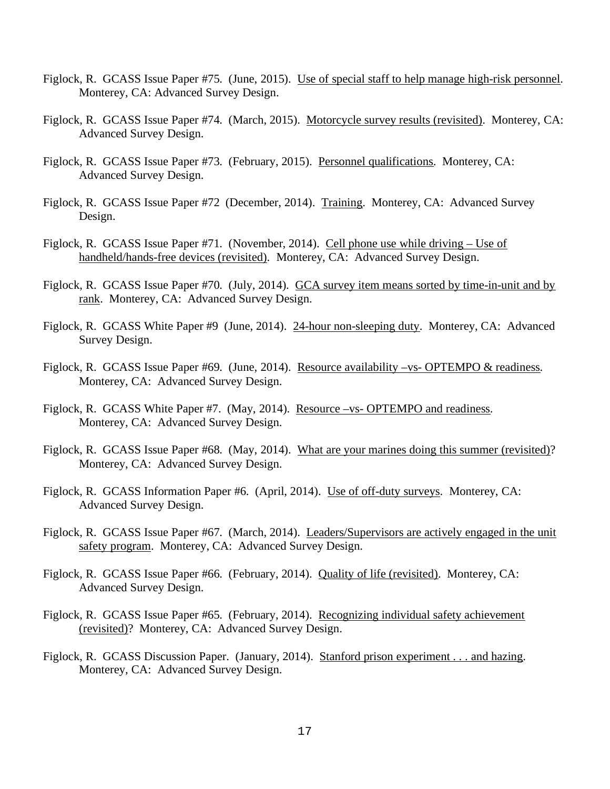- Figlock, R. GCASS Issue Paper #75. (June, 2015). Use of special staff to help manage high-risk personnel. Monterey, CA: Advanced Survey Design.
- Figlock, R. GCASS Issue Paper #74. (March, 2015). Motorcycle survey results (revisited). Monterey, CA: Advanced Survey Design.
- Figlock, R. GCASS Issue Paper #73. (February, 2015). Personnel qualifications. Monterey, CA: Advanced Survey Design.
- Figlock, R. GCASS Issue Paper #72 (December, 2014). Training. Monterey, CA: Advanced Survey Design.
- Figlock, R. GCASS Issue Paper #71. (November, 2014). Cell phone use while driving Use of handheld/hands-free devices (revisited). Monterey, CA: Advanced Survey Design.
- Figlock, R. GCASS Issue Paper #70. (July, 2014). GCA survey item means sorted by time-in-unit and by rank. Monterey, CA: Advanced Survey Design.
- Figlock, R. GCASS White Paper #9 (June, 2014). 24-hour non-sleeping duty. Monterey, CA: Advanced Survey Design.
- Figlock, R. GCASS Issue Paper #69. (June, 2014). Resource availability –vs- OPTEMPO & readiness. Monterey, CA: Advanced Survey Design.
- Figlock, R. GCASS White Paper #7. (May, 2014). Resource –vs- OPTEMPO and readiness. Monterey, CA: Advanced Survey Design.
- Figlock, R. GCASS Issue Paper #68. (May, 2014). What are your marines doing this summer (revisited)? Monterey, CA: Advanced Survey Design.
- Figlock, R. GCASS Information Paper #6. (April, 2014). Use of off-duty surveys. Monterey, CA: Advanced Survey Design.
- Figlock, R. GCASS Issue Paper #67. (March, 2014). Leaders/Supervisors are actively engaged in the unit safety program. Monterey, CA: Advanced Survey Design.
- Figlock, R. GCASS Issue Paper #66. (February, 2014). Quality of life (revisited). Monterey, CA: Advanced Survey Design.
- Figlock, R. GCASS Issue Paper #65. (February, 2014). Recognizing individual safety achievement (revisited)? Monterey, CA: Advanced Survey Design.
- Figlock, R. GCASS Discussion Paper. (January, 2014). Stanford prison experiment . . . and hazing. Monterey, CA: Advanced Survey Design.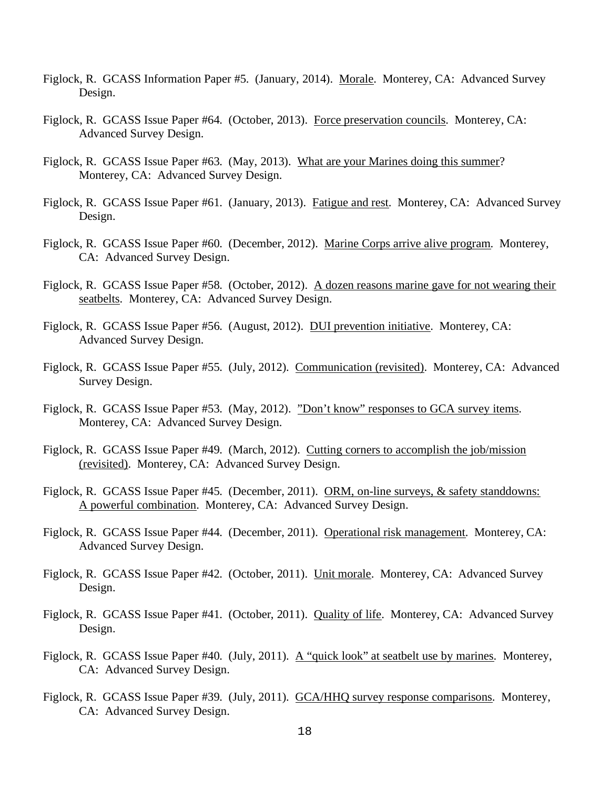- Figlock, R. GCASS Information Paper #5. (January, 2014). Morale. Monterey, CA: Advanced Survey Design.
- Figlock, R. GCASS Issue Paper #64. (October, 2013). Force preservation councils. Monterey, CA: Advanced Survey Design.
- Figlock, R. GCASS Issue Paper #63. (May, 2013). What are your Marines doing this summer? Monterey, CA: Advanced Survey Design.
- Figlock, R. GCASS Issue Paper #61. (January, 2013). Fatigue and rest. Monterey, CA: Advanced Survey Design.
- Figlock, R. GCASS Issue Paper #60. (December, 2012). Marine Corps arrive alive program. Monterey, CA: Advanced Survey Design.
- Figlock, R. GCASS Issue Paper #58. (October, 2012). A dozen reasons marine gave for not wearing their seatbelts. Monterey, CA: Advanced Survey Design.
- Figlock, R. GCASS Issue Paper #56. (August, 2012). DUI prevention initiative. Monterey, CA: Advanced Survey Design.
- Figlock, R. GCASS Issue Paper #55. (July, 2012). Communication (revisited). Monterey, CA: Advanced Survey Design.
- Figlock, R. GCASS Issue Paper #53. (May, 2012). "Don't know" responses to GCA survey items. Monterey, CA: Advanced Survey Design.
- Figlock, R. GCASS Issue Paper #49. (March, 2012). Cutting corners to accomplish the job/mission (revisited). Monterey, CA: Advanced Survey Design.
- Figlock, R. GCASS Issue Paper #45. (December, 2011). ORM, on-line surveys, & safety standdowns: A powerful combination. Monterey, CA: Advanced Survey Design.
- Figlock, R. GCASS Issue Paper #44. (December, 2011). Operational risk management. Monterey, CA: Advanced Survey Design.
- Figlock, R. GCASS Issue Paper #42. (October, 2011). Unit morale. Monterey, CA: Advanced Survey Design.
- Figlock, R. GCASS Issue Paper #41. (October, 2011). Quality of life. Monterey, CA: Advanced Survey Design.
- Figlock, R. GCASS Issue Paper #40. (July, 2011). A "quick look" at seatbelt use by marines. Monterey, CA: Advanced Survey Design.
- Figlock, R. GCASS Issue Paper #39. (July, 2011). GCA/HHQ survey response comparisons. Monterey, CA: Advanced Survey Design.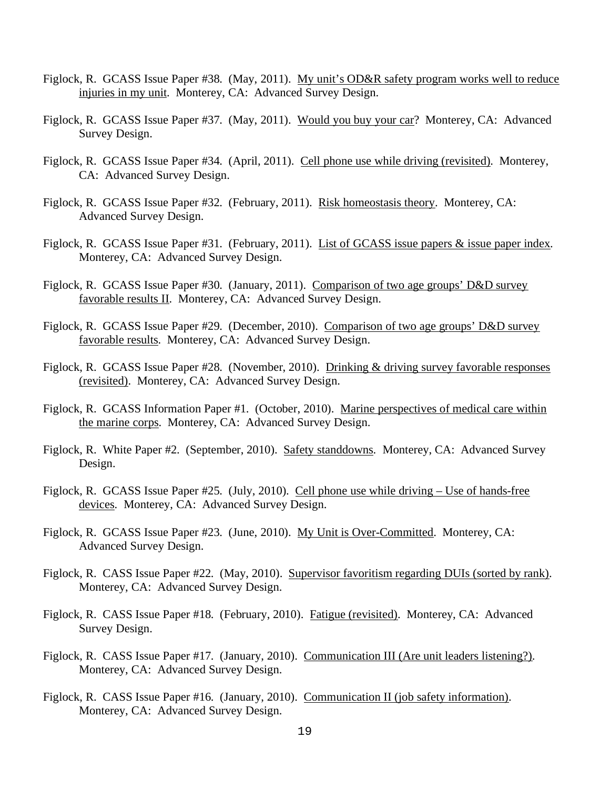- Figlock, R. GCASS Issue Paper #38. (May, 2011). My unit's OD&R safety program works well to reduce injuries in my unit. Monterey, CA: Advanced Survey Design.
- Figlock, R. GCASS Issue Paper #37. (May, 2011). Would you buy your car? Monterey, CA: Advanced Survey Design.
- Figlock, R. GCASS Issue Paper #34. (April, 2011). Cell phone use while driving (revisited). Monterey, CA: Advanced Survey Design.
- Figlock, R. GCASS Issue Paper #32. (February, 2011). Risk homeostasis theory. Monterey, CA: Advanced Survey Design.
- Figlock, R. GCASS Issue Paper #31. (February, 2011). List of GCASS issue papers & issue paper index. Monterey, CA: Advanced Survey Design.
- Figlock, R. GCASS Issue Paper #30. (January, 2011). Comparison of two age groups' D&D survey favorable results II. Monterey, CA: Advanced Survey Design.
- Figlock, R. GCASS Issue Paper #29. (December, 2010). Comparison of two age groups' D&D survey favorable results. Monterey, CA: Advanced Survey Design.
- Figlock, R. GCASS Issue Paper #28. (November, 2010). Drinking & driving survey favorable responses (revisited). Monterey, CA: Advanced Survey Design.
- Figlock, R. GCASS Information Paper #1. (October, 2010). Marine perspectives of medical care within the marine corps. Monterey, CA: Advanced Survey Design.
- Figlock, R. White Paper #2. (September, 2010). Safety standdowns. Monterey, CA: Advanced Survey Design.
- Figlock, R. GCASS Issue Paper #25. (July, 2010). Cell phone use while driving Use of hands-free devices. Monterey, CA: Advanced Survey Design.
- Figlock, R. GCASS Issue Paper #23. (June, 2010). My Unit is Over-Committed. Monterey, CA: Advanced Survey Design.
- Figlock, R. CASS Issue Paper #22. (May, 2010). Supervisor favoritism regarding DUIs (sorted by rank). Monterey, CA: Advanced Survey Design.
- Figlock, R. CASS Issue Paper #18. (February, 2010). Fatigue (revisited). Monterey, CA: Advanced Survey Design.
- Figlock, R. CASS Issue Paper #17. (January, 2010). Communication III (Are unit leaders listening?). Monterey, CA: Advanced Survey Design.
- Figlock, R. CASS Issue Paper #16. (January, 2010). Communication II (job safety information). Monterey, CA: Advanced Survey Design.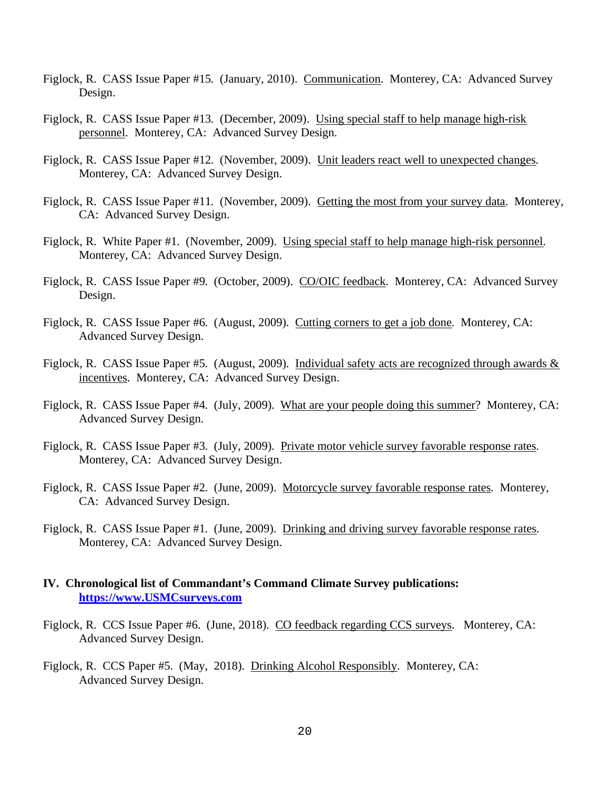- Figlock, R. CASS Issue Paper #15. (January, 2010). Communication. Monterey, CA: Advanced Survey Design.
- Figlock, R. CASS Issue Paper #13. (December, 2009). Using special staff to help manage high-risk personnel. Monterey, CA: Advanced Survey Design.
- Figlock, R. CASS Issue Paper #12. (November, 2009). Unit leaders react well to unexpected changes. Monterey, CA: Advanced Survey Design.
- Figlock, R. CASS Issue Paper #11. (November, 2009). Getting the most from your survey data. Monterey, CA: Advanced Survey Design.
- Figlock, R. White Paper #1. (November, 2009). Using special staff to help manage high-risk personnel. Monterey, CA: Advanced Survey Design.
- Figlock, R. CASS Issue Paper #9. (October, 2009). CO/OIC feedback. Monterey, CA: Advanced Survey Design.
- Figlock, R. CASS Issue Paper #6. (August, 2009). Cutting corners to get a job done. Monterey, CA: Advanced Survey Design.
- Figlock, R. CASS Issue Paper #5. (August, 2009). Individual safety acts are recognized through awards & incentives. Monterey, CA: Advanced Survey Design.
- Figlock, R. CASS Issue Paper #4. (July, 2009). What are your people doing this summer? Monterey, CA: Advanced Survey Design.
- Figlock, R. CASS Issue Paper #3. (July, 2009). Private motor vehicle survey favorable response rates. Monterey, CA: Advanced Survey Design.
- Figlock, R. CASS Issue Paper #2. (June, 2009). Motorcycle survey favorable response rates. Monterey, CA: Advanced Survey Design.
- Figlock, R. CASS Issue Paper #1. (June, 2009). Drinking and driving survey favorable response rates. Monterey, CA: Advanced Survey Design.

### **IV. Chronological list of Commandant's Command Climate Survey publications: https://www.USMCsurveys.com**

- Figlock, R. CCS Issue Paper #6. (June, 2018). CO feedback regarding CCS surveys. Monterey, CA: Advanced Survey Design.
- Figlock, R. CCS Paper #5. (May, 2018). Drinking Alcohol Responsibly. Monterey, CA: Advanced Survey Design.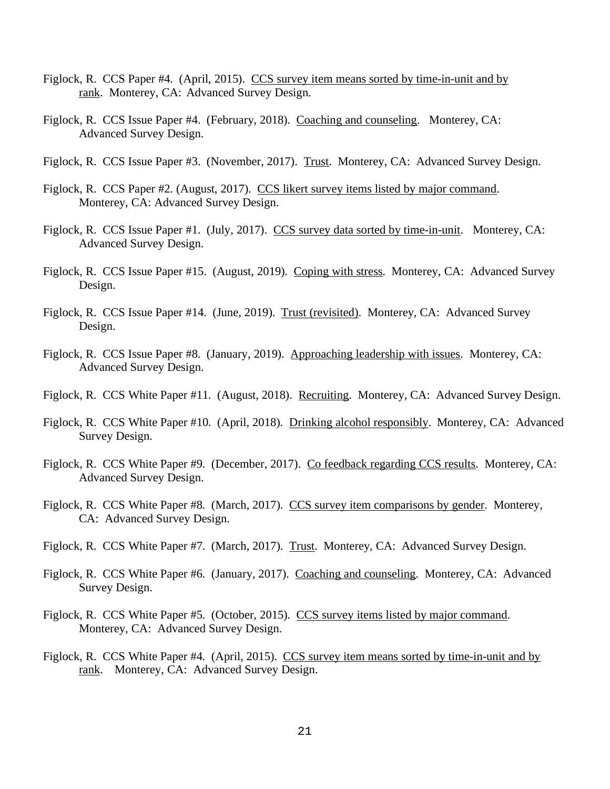- Figlock, R. CCS Paper #4. (April, 2015). CCS survey item means sorted by time-in-unit and by rank. Monterey, CA: Advanced Survey Design.
- Figlock, R. CCS Issue Paper #4. (February, 2018). Coaching and counseling. Monterey, CA: Advanced Survey Design.
- Figlock, R. CCS Issue Paper #3. (November, 2017). Trust. Monterey, CA: Advanced Survey Design.
- Figlock, R. CCS Paper #2. (August, 2017). CCS likert survey items listed by major command. Monterey, CA: Advanced Survey Design.
- Figlock, R. CCS Issue Paper #1. (July, 2017). CCS survey data sorted by time-in-unit. Monterey, CA: Advanced Survey Design.
- Figlock, R. CCS Issue Paper #15. (August, 2019). Coping with stress. Monterey, CA: Advanced Survey Design.
- Figlock, R. CCS Issue Paper #14. (June, 2019). Trust (revisited). Monterey, CA: Advanced Survey Design.
- Figlock, R. CCS Issue Paper #8. (January, 2019). Approaching leadership with issues. Monterey, CA: Advanced Survey Design.
- Figlock, R. CCS White Paper #11. (August, 2018). Recruiting. Monterey, CA: Advanced Survey Design.
- Figlock, R. CCS White Paper #10. (April, 2018). Drinking alcohol responsibly. Monterey, CA: Advanced Survey Design.
- Figlock, R. CCS White Paper #9. (December, 2017). Co feedback regarding CCS results. Monterey, CA: Advanced Survey Design.
- Figlock, R. CCS White Paper #8. (March, 2017). CCS survey item comparisons by gender. Monterey, CA: Advanced Survey Design.
- Figlock, R. CCS White Paper #7. (March, 2017). Trust. Monterey, CA: Advanced Survey Design.
- Figlock, R. CCS White Paper #6. (January, 2017). Coaching and counseling. Monterey, CA: Advanced Survey Design.
- Figlock, R. CCS White Paper #5. (October, 2015). CCS survey items listed by major command. Monterey, CA: Advanced Survey Design.
- Figlock, R. CCS White Paper #4. (April, 2015). CCS survey item means sorted by time-in-unit and by rank. Monterey, CA: Advanced Survey Design.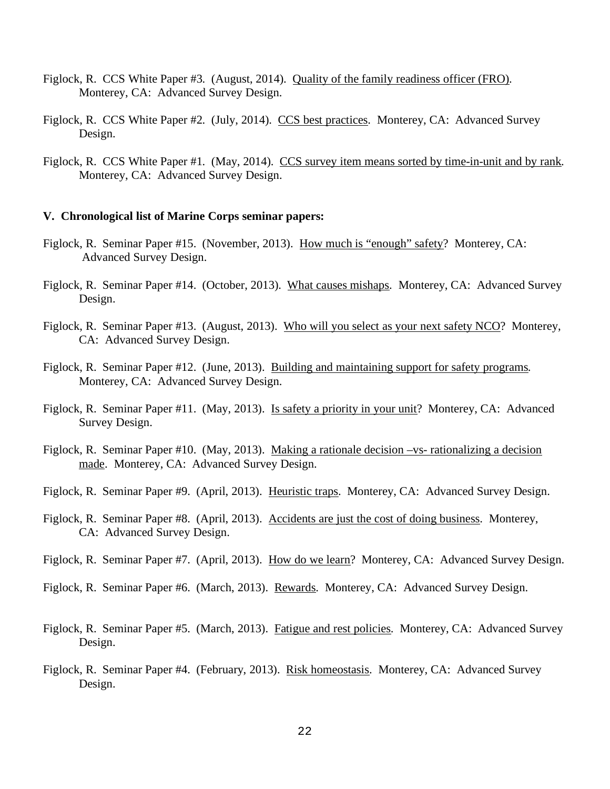- Figlock, R. CCS White Paper #3. (August, 2014). Quality of the family readiness officer (FRO). Monterey, CA: Advanced Survey Design.
- Figlock, R. CCS White Paper #2. (July, 2014). CCS best practices. Monterey, CA: Advanced Survey Design.
- Figlock, R. CCS White Paper #1. (May, 2014). CCS survey item means sorted by time-in-unit and by rank. Monterey, CA: Advanced Survey Design.

#### **V. Chronological list of Marine Corps seminar papers:**

- Figlock, R. Seminar Paper #15. (November, 2013). How much is "enough" safety? Monterey, CA: Advanced Survey Design.
- Figlock, R. Seminar Paper #14. (October, 2013). What causes mishaps. Monterey, CA: Advanced Survey Design.
- Figlock, R. Seminar Paper #13. (August, 2013). Who will you select as your next safety NCO? Monterey, CA: Advanced Survey Design.
- Figlock, R. Seminar Paper #12. (June, 2013). Building and maintaining support for safety programs. Monterey, CA: Advanced Survey Design.
- Figlock, R. Seminar Paper #11. (May, 2013). Is safety a priority in your unit? Monterey, CA: Advanced Survey Design.
- Figlock, R. Seminar Paper #10. (May, 2013). Making a rationale decision –vs- rationalizing a decision made. Monterey, CA: Advanced Survey Design.
- Figlock, R. Seminar Paper #9. (April, 2013). Heuristic traps. Monterey, CA: Advanced Survey Design.
- Figlock, R. Seminar Paper #8. (April, 2013). Accidents are just the cost of doing business. Monterey, CA: Advanced Survey Design.
- Figlock, R. Seminar Paper #7. (April, 2013). How do we learn? Monterey, CA: Advanced Survey Design.
- Figlock, R. Seminar Paper #6. (March, 2013). Rewards. Monterey, CA: Advanced Survey Design.
- Figlock, R. Seminar Paper #5. (March, 2013). Fatigue and rest policies. Monterey, CA: Advanced Survey Design.
- Figlock, R. Seminar Paper #4. (February, 2013). Risk homeostasis. Monterey, CA: Advanced Survey Design.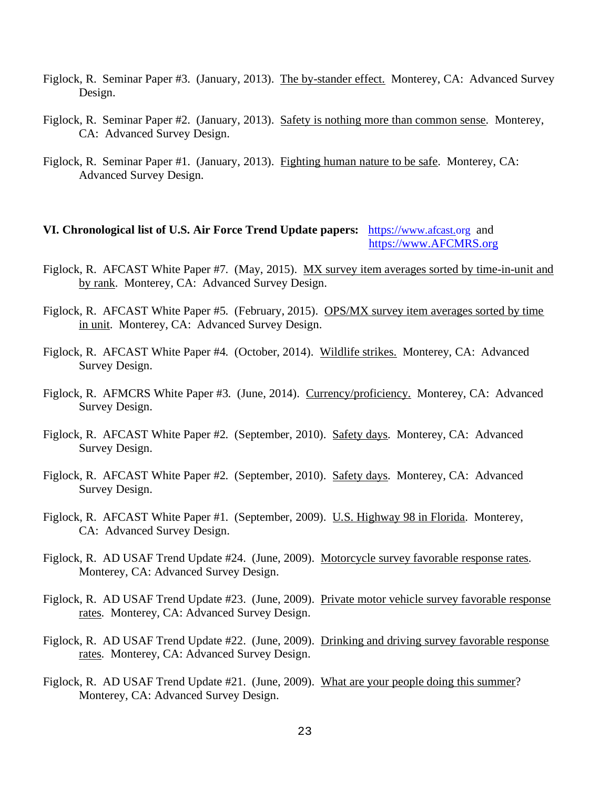- Figlock, R. Seminar Paper #3. (January, 2013). The by-stander effect. Monterey, CA: Advanced Survey Design.
- Figlock, R. Seminar Paper #2. (January, 2013). Safety is nothing more than common sense. Monterey, CA: Advanced Survey Design.
- Figlock, R. Seminar Paper #1. (January, 2013). Fighting human nature to be safe. Monterey, CA: Advanced Survey Design.

## **VI. Chronological list of U.S. Air Force Trend Update papers:** https://www.afcast.org and https://www.AFCMRS.org

- Figlock, R. AFCAST White Paper #7. (May, 2015). MX survey item averages sorted by time-in-unit and by rank. Monterey, CA: Advanced Survey Design.
- Figlock, R. AFCAST White Paper #5. (February, 2015). OPS/MX survey item averages sorted by time in unit. Monterey, CA: Advanced Survey Design.
- Figlock, R. AFCAST White Paper #4. (October, 2014). Wildlife strikes. Monterey, CA: Advanced Survey Design.
- Figlock, R. AFMCRS White Paper #3. (June, 2014). Currency/proficiency. Monterey, CA: Advanced Survey Design.
- Figlock, R. AFCAST White Paper #2. (September, 2010). Safety days. Monterey, CA: Advanced Survey Design.
- Figlock, R. AFCAST White Paper #2. (September, 2010). Safety days. Monterey, CA: Advanced Survey Design.
- Figlock, R. AFCAST White Paper #1. (September, 2009). U.S. Highway 98 in Florida. Monterey, CA: Advanced Survey Design.
- Figlock, R. AD USAF Trend Update #24. (June, 2009). Motorcycle survey favorable response rates. Monterey, CA: Advanced Survey Design.
- Figlock, R. AD USAF Trend Update #23. (June, 2009). Private motor vehicle survey favorable response rates. Monterey, CA: Advanced Survey Design.
- Figlock, R. AD USAF Trend Update #22. (June, 2009). Drinking and driving survey favorable response rates. Monterey, CA: Advanced Survey Design.
- Figlock, R. AD USAF Trend Update #21. (June, 2009). What are your people doing this summer? Monterey, CA: Advanced Survey Design.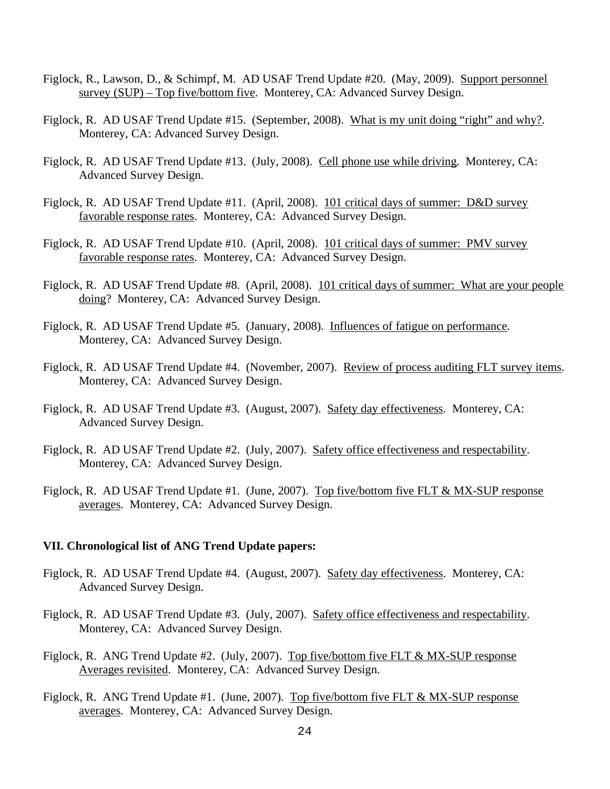- Figlock, R., Lawson, D., & Schimpf, M. AD USAF Trend Update #20. (May, 2009). Support personnel survey (SUP) – Top five/bottom five. Monterey, CA: Advanced Survey Design.
- Figlock, R. AD USAF Trend Update #15. (September, 2008). What is my unit doing "right" and why?. Monterey, CA: Advanced Survey Design.
- Figlock, R. AD USAF Trend Update #13. (July, 2008). Cell phone use while driving. Monterey, CA: Advanced Survey Design.
- Figlock, R. AD USAF Trend Update #11. (April, 2008). 101 critical days of summer: D&D survey favorable response rates. Monterey, CA: Advanced Survey Design.
- Figlock, R. AD USAF Trend Update #10. (April, 2008). 101 critical days of summer: PMV survey favorable response rates. Monterey, CA: Advanced Survey Design.
- Figlock, R. AD USAF Trend Update #8. (April, 2008). 101 critical days of summer: What are your people doing? Monterey, CA: Advanced Survey Design.
- Figlock, R. AD USAF Trend Update #5. (January, 2008). Influences of fatigue on performance. Monterey, CA: Advanced Survey Design.
- Figlock, R. AD USAF Trend Update #4. (November, 2007). Review of process auditing FLT survey items. Monterey, CA: Advanced Survey Design.
- Figlock, R. AD USAF Trend Update #3. (August, 2007). Safety day effectiveness. Monterey, CA: Advanced Survey Design.
- Figlock, R. AD USAF Trend Update #2. (July, 2007). Safety office effectiveness and respectability. Monterey, CA: Advanced Survey Design.
- Figlock, R. AD USAF Trend Update #1. (June, 2007). Top five/bottom five FLT & MX-SUP response averages. Monterey, CA: Advanced Survey Design.

#### **VII. Chronological list of ANG Trend Update papers:**

- Figlock, R. AD USAF Trend Update #4. (August, 2007). Safety day effectiveness. Monterey, CA: Advanced Survey Design.
- Figlock, R. AD USAF Trend Update #3. (July, 2007). Safety office effectiveness and respectability. Monterey, CA: Advanced Survey Design.
- Figlock, R. ANG Trend Update #2. (July, 2007). Top five/bottom five FLT & MX-SUP response Averages revisited. Monterey, CA: Advanced Survey Design.
- Figlock, R. ANG Trend Update #1. (June, 2007). Top five/bottom five FLT & MX-SUP response averages. Monterey, CA: Advanced Survey Design.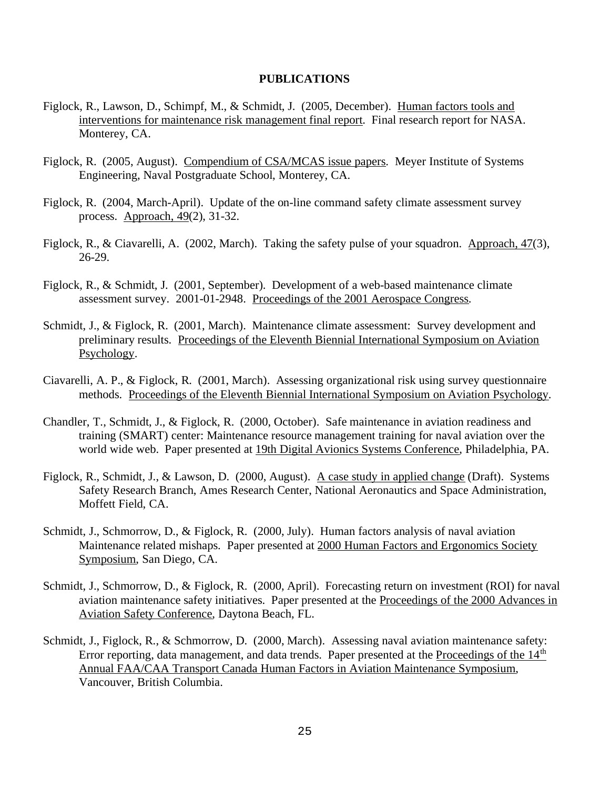#### **PUBLICATIONS**

- Figlock, R., Lawson, D., Schimpf, M., & Schmidt, J. (2005, December). Human factors tools and interventions for maintenance risk management final report. Final research report for NASA. Monterey, CA.
- Figlock, R. (2005, August). Compendium of CSA/MCAS issue papers. Meyer Institute of Systems Engineering, Naval Postgraduate School, Monterey, CA.
- Figlock, R. (2004, March-April). Update of the on-line command safety climate assessment survey process. Approach, 49(2), 31-32.
- Figlock, R., & Ciavarelli, A. (2002, March). Taking the safety pulse of your squadron. Approach, 47(3), 26-29.
- Figlock, R., & Schmidt, J. (2001, September). Development of a web-based maintenance climate assessment survey. 2001-01-2948. Proceedings of the 2001 Aerospace Congress.
- Schmidt, J., & Figlock, R. (2001, March). Maintenance climate assessment: Survey development and preliminary results. Proceedings of the Eleventh Biennial International Symposium on Aviation Psychology.
- Ciavarelli, A. P., & Figlock, R. (2001, March). Assessing organizational risk using survey questionnaire methods. Proceedings of the Eleventh Biennial International Symposium on Aviation Psychology.
- Chandler, T., Schmidt, J., & Figlock, R. (2000, October). Safe maintenance in aviation readiness and training (SMART) center: Maintenance resource management training for naval aviation over the world wide web. Paper presented at 19th Digital Avionics Systems Conference, Philadelphia, PA.
- Figlock, R., Schmidt, J., & Lawson, D. (2000, August). A case study in applied change (Draft). Systems Safety Research Branch, Ames Research Center, National Aeronautics and Space Administration, Moffett Field, CA.
- Schmidt, J., Schmorrow, D., & Figlock, R. (2000, July). Human factors analysis of naval aviation Maintenance related mishaps. Paper presented at 2000 Human Factors and Ergonomics Society Symposium, San Diego, CA.
- Schmidt, J., Schmorrow, D., & Figlock, R. (2000, April). Forecasting return on investment (ROI) for naval aviation maintenance safety initiatives. Paper presented at the Proceedings of the 2000 Advances in Aviation Safety Conference, Daytona Beach, FL.
- Schmidt, J., Figlock, R., & Schmorrow, D. (2000, March). Assessing naval aviation maintenance safety: Error reporting, data management, and data trends. Paper presented at the Proceedings of the  $14<sup>th</sup>$ Annual FAA/CAA Transport Canada Human Factors in Aviation Maintenance Symposium, Vancouver, British Columbia.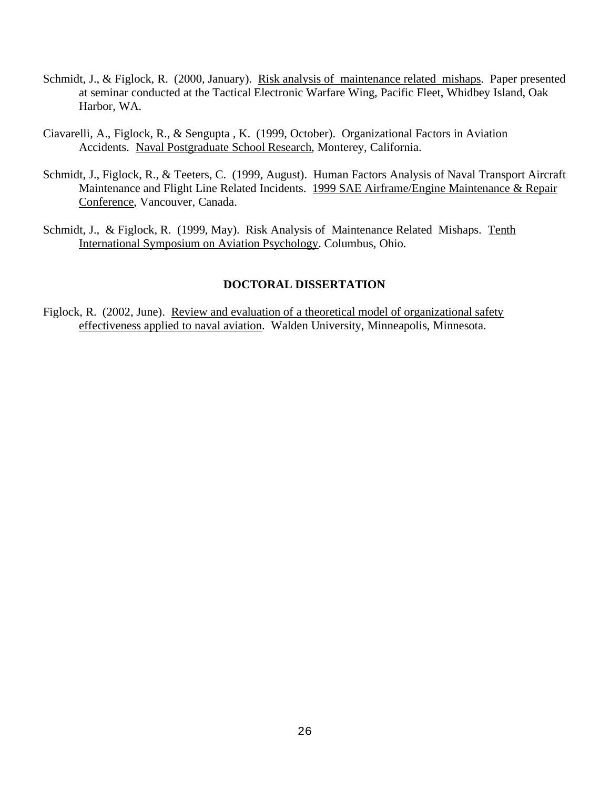- Schmidt, J., & Figlock, R. (2000, January). Risk analysis of maintenance related mishaps. Paper presented at seminar conducted at the Tactical Electronic Warfare Wing, Pacific Fleet, Whidbey Island, Oak Harbor, WA.
- Ciavarelli, A., Figlock, R., & Sengupta , K. (1999, October). Organizational Factors in Aviation Accidents. Naval Postgraduate School Research, Monterey, California.
- Schmidt, J., Figlock, R., & Teeters, C. (1999, August). Human Factors Analysis of Naval Transport Aircraft Maintenance and Flight Line Related Incidents. 1999 SAE Airframe/Engine Maintenance & Repair Conference, Vancouver, Canada.
- Schmidt, J., & Figlock, R. (1999, May). Risk Analysis of Maintenance Related Mishaps. Tenth International Symposium on Aviation Psychology. Columbus, Ohio.

### **DOCTORAL DISSERTATION**

Figlock, R. (2002, June). Review and evaluation of a theoretical model of organizational safety effectiveness applied to naval aviation. Walden University, Minneapolis, Minnesota.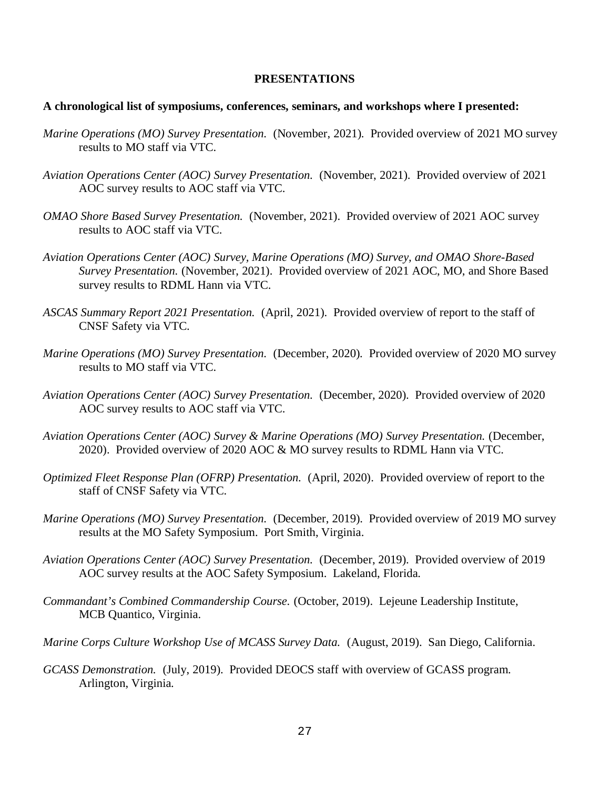#### **PRESENTATIONS**

#### **A chronological list of symposiums, conferences, seminars, and workshops where I presented:**

- *Marine Operations (MO) Survey Presentation.* (November, 2021)*.* Provided overview of 2021 MO survey results to MO staff via VTC.
- *Aviation Operations Center (AOC) Survey Presentation.* (November, 2021). Provided overview of 2021 AOC survey results to AOC staff via VTC.
- *OMAO Shore Based Survey Presentation.* (November, 2021). Provided overview of 2021 AOC survey results to AOC staff via VTC.
- *Aviation Operations Center (AOC) Survey, Marine Operations (MO) Survey, and OMAO Shore-Based Survey Presentation.* (November, 2021). Provided overview of 2021 AOC, MO, and Shore Based survey results to RDML Hann via VTC.
- *ASCAS Summary Report 2021 Presentation.* (April, 2021). Provided overview of report to the staff of CNSF Safety via VTC.
- *Marine Operations (MO) Survey Presentation.* (December, 2020)*.* Provided overview of 2020 MO survey results to MO staff via VTC.
- *Aviation Operations Center (AOC) Survey Presentation.* (December, 2020). Provided overview of 2020 AOC survey results to AOC staff via VTC.
- *Aviation Operations Center (AOC) Survey & Marine Operations (MO) Survey Presentation.* (December, 2020). Provided overview of 2020 AOC & MO survey results to RDML Hann via VTC.
- *Optimized Fleet Response Plan (OFRP) Presentation.* (April, 2020). Provided overview of report to the staff of CNSF Safety via VTC.
- *Marine Operations (MO) Survey Presentation.* (December, 2019). Provided overview of 2019 MO survey results at the MO Safety Symposium. Port Smith, Virginia.
- *Aviation Operations Center (AOC) Survey Presentation.* (December, 2019). Provided overview of 2019 AOC survey results at the AOC Safety Symposium. Lakeland, Florida.
- *Commandant's Combined Commandership Course.* (October, 2019). Lejeune Leadership Institute, MCB Quantico, Virginia.
- *Marine Corps Culture Workshop Use of MCASS Survey Data.* (August, 2019). San Diego, California.
- *GCASS Demonstration.* (July, 2019). Provided DEOCS staff with overview of GCASS program. Arlington, Virginia.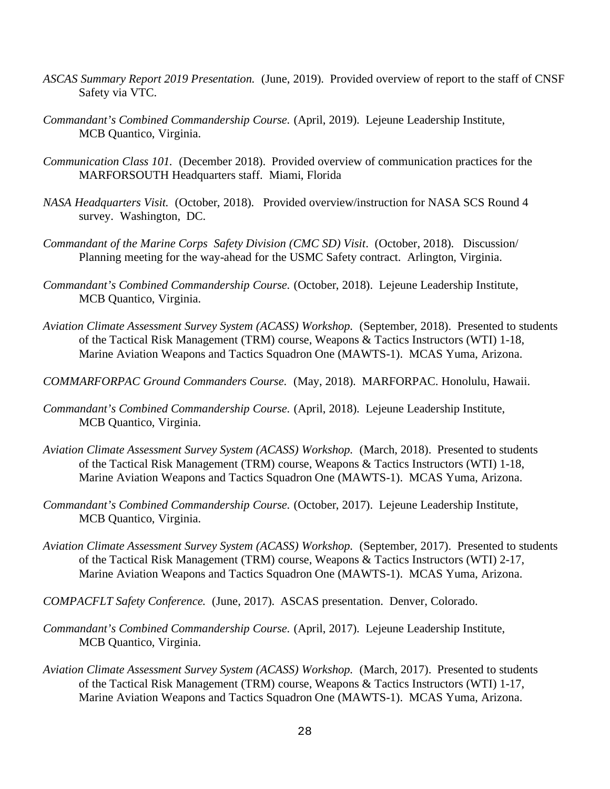- *ASCAS Summary Report 2019 Presentation.* (June, 2019). Provided overview of report to the staff of CNSF Safety via VTC.
- *Commandant's Combined Commandership Course.* (April, 2019). Lejeune Leadership Institute, MCB Quantico, Virginia.
- *Communication Class 101.* (December 2018). Provided overview of communication practices for the MARFORSOUTH Headquarters staff. Miami, Florida
- *NASA Headquarters Visit.* (October, 2018). Provided overview/instruction for NASA SCS Round 4 survey. Washington, DC.
- *Commandant of the Marine Corps Safety Division (CMC SD) Visit*. (October, 2018). Discussion/ Planning meeting for the way-ahead for the USMC Safety contract. Arlington, Virginia.
- *Commandant's Combined Commandership Course.* (October, 2018). Lejeune Leadership Institute, MCB Quantico, Virginia.
- *Aviation Climate Assessment Survey System (ACASS) Workshop.* (September, 2018). Presented to students of the Tactical Risk Management (TRM) course, Weapons & Tactics Instructors (WTI) 1-18, Marine Aviation Weapons and Tactics Squadron One (MAWTS-1). MCAS Yuma, Arizona.
- *COMMARFORPAC Ground Commanders Course.* (May, 2018). MARFORPAC. Honolulu, Hawaii.
- *Commandant's Combined Commandership Course.* (April, 2018). Lejeune Leadership Institute, MCB Quantico, Virginia.
- *Aviation Climate Assessment Survey System (ACASS) Workshop.* (March, 2018). Presented to students of the Tactical Risk Management (TRM) course, Weapons & Tactics Instructors (WTI) 1-18, Marine Aviation Weapons and Tactics Squadron One (MAWTS-1). MCAS Yuma, Arizona.
- *Commandant's Combined Commandership Course.* (October, 2017). Lejeune Leadership Institute, MCB Quantico, Virginia.
- *Aviation Climate Assessment Survey System (ACASS) Workshop.* (September, 2017). Presented to students of the Tactical Risk Management (TRM) course, Weapons & Tactics Instructors (WTI) 2-17, Marine Aviation Weapons and Tactics Squadron One (MAWTS-1). MCAS Yuma, Arizona.
- *COMPACFLT Safety Conference.* (June, 2017). ASCAS presentation. Denver, Colorado.
- *Commandant's Combined Commandership Course.* (April, 2017). Lejeune Leadership Institute, MCB Quantico, Virginia.
- *Aviation Climate Assessment Survey System (ACASS) Workshop.* (March, 2017). Presented to students of the Tactical Risk Management (TRM) course, Weapons & Tactics Instructors (WTI) 1-17, Marine Aviation Weapons and Tactics Squadron One (MAWTS-1). MCAS Yuma, Arizona.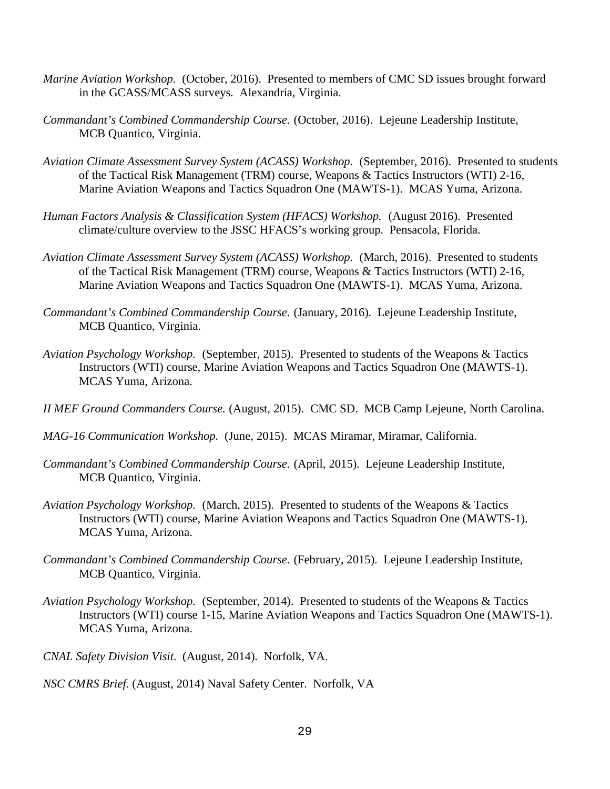- *Marine Aviation Workshop.* (October, 2016). Presented to members of CMC SD issues brought forward in the GCASS/MCASS surveys. Alexandria, Virginia.
- *Commandant's Combined Commandership Course.* (October, 2016). Lejeune Leadership Institute, MCB Quantico, Virginia.
- *Aviation Climate Assessment Survey System (ACASS) Workshop.* (September, 2016). Presented to students of the Tactical Risk Management (TRM) course, Weapons & Tactics Instructors (WTI) 2-16, Marine Aviation Weapons and Tactics Squadron One (MAWTS-1). MCAS Yuma, Arizona.
- *Human Factors Analysis & Classification System (HFACS) Workshop.* (August 2016). Presented climate/culture overview to the JSSC HFACS's working group. Pensacola, Florida.
- *Aviation Climate Assessment Survey System (ACASS) Workshop.* (March, 2016). Presented to students of the Tactical Risk Management (TRM) course, Weapons & Tactics Instructors (WTI) 2-16, Marine Aviation Weapons and Tactics Squadron One (MAWTS-1). MCAS Yuma, Arizona.
- *Commandant's Combined Commandership Course.* (January, 2016). Lejeune Leadership Institute, MCB Quantico, Virginia.
- *Aviation Psychology Workshop.* (September, 2015). Presented to students of the Weapons & Tactics Instructors (WTI) course, Marine Aviation Weapons and Tactics Squadron One (MAWTS-1). MCAS Yuma, Arizona.
- *II MEF Ground Commanders Course.* (August, 2015). CMC SD. MCB Camp Lejeune, North Carolina.
- *MAG-16 Communication Workshop.* (June, 2015). MCAS Miramar, Miramar, California.
- *Commandant's Combined Commandership Course.* (April, 2015). Lejeune Leadership Institute, MCB Quantico, Virginia.
- *Aviation Psychology Workshop.* (March, 2015). Presented to students of the Weapons & Tactics Instructors (WTI) course, Marine Aviation Weapons and Tactics Squadron One (MAWTS-1). MCAS Yuma, Arizona.
- *Commandant's Combined Commandership Course.* (February, 2015). Lejeune Leadership Institute, MCB Quantico, Virginia.
- *Aviation Psychology Workshop.* (September, 2014). Presented to students of the Weapons & Tactics Instructors (WTI) course 1-15, Marine Aviation Weapons and Tactics Squadron One (MAWTS-1). MCAS Yuma, Arizona.
- *CNAL Safety Division Visit*. (August, 2014). Norfolk, VA.
- *NSC CMRS Brief.* (August, 2014) Naval Safety Center. Norfolk, VA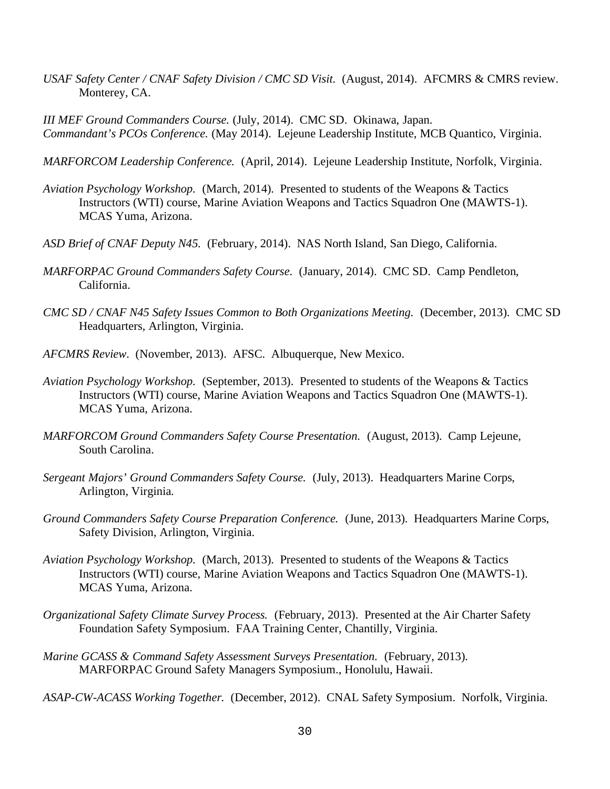*USAF Safety Center / CNAF Safety Division / CMC SD Visit.* (August, 2014). AFCMRS & CMRS review. Monterey, CA.

*III MEF Ground Commanders Course.* (July, 2014). CMC SD. Okinawa, Japan. *Commandant's PCOs Conference.* (May 2014). Lejeune Leadership Institute, MCB Quantico, Virginia.

*MARFORCOM Leadership Conference.* (April, 2014). Lejeune Leadership Institute, Norfolk, Virginia.

- *Aviation Psychology Workshop.* (March, 2014). Presented to students of the Weapons & Tactics Instructors (WTI) course, Marine Aviation Weapons and Tactics Squadron One (MAWTS-1). MCAS Yuma, Arizona.
- *ASD Brief of CNAF Deputy N45.* (February, 2014). NAS North Island, San Diego, California.
- *MARFORPAC Ground Commanders Safety Course.* (January, 2014). CMC SD. Camp Pendleton, California.
- *CMC SD / CNAF N45 Safety Issues Common to Both Organizations Meeting.* (December, 2013). CMC SD Headquarters, Arlington, Virginia.
- *AFCMRS Review*. (November, 2013). AFSC. Albuquerque, New Mexico.
- *Aviation Psychology Workshop.* (September, 2013). Presented to students of the Weapons & Tactics Instructors (WTI) course, Marine Aviation Weapons and Tactics Squadron One (MAWTS-1). MCAS Yuma, Arizona.
- *MARFORCOM Ground Commanders Safety Course Presentation.* (August, 2013). Camp Lejeune, South Carolina.
- *Sergeant Majors' Ground Commanders Safety Course.* (July, 2013). Headquarters Marine Corps, Arlington, Virginia.
- *Ground Commanders Safety Course Preparation Conference.* (June, 2013). Headquarters Marine Corps, Safety Division, Arlington, Virginia.
- *Aviation Psychology Workshop.* (March, 2013). Presented to students of the Weapons & Tactics Instructors (WTI) course, Marine Aviation Weapons and Tactics Squadron One (MAWTS-1). MCAS Yuma, Arizona.
- *Organizational Safety Climate Survey Process.* (February, 2013). Presented at the Air Charter Safety Foundation Safety Symposium. FAA Training Center, Chantilly, Virginia.
- *Marine GCASS & Command Safety Assessment Surveys Presentation.* (February, 2013). MARFORPAC Ground Safety Managers Symposium., Honolulu, Hawaii.
- *ASAP-CW-ACASS Working Together.* (December, 2012). CNAL Safety Symposium. Norfolk, Virginia.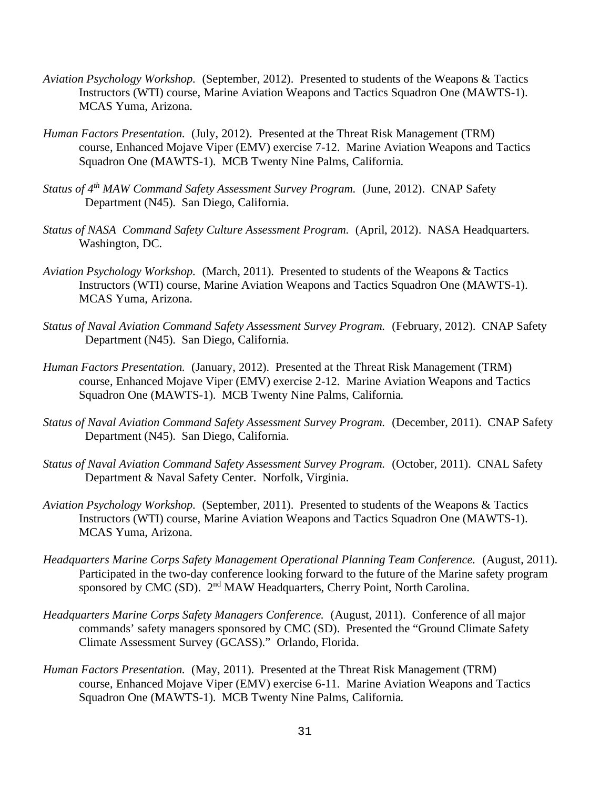- *Aviation Psychology Workshop.* (September, 2012). Presented to students of the Weapons & Tactics Instructors (WTI) course, Marine Aviation Weapons and Tactics Squadron One (MAWTS-1). MCAS Yuma, Arizona.
- *Human Factors Presentation.* (July, 2012). Presented at the Threat Risk Management (TRM) course, Enhanced Mojave Viper (EMV) exercise 7-12. Marine Aviation Weapons and Tactics Squadron One (MAWTS-1). MCB Twenty Nine Palms, California.
- *Status of 4th MAW Command Safety Assessment Survey Program.* (June, 2012). CNAP Safety Department (N45). San Diego, California.
- *Status of NASA Command Safety Culture Assessment Program.* (April, 2012). NASA Headquarters. Washington, DC.
- *Aviation Psychology Workshop.* (March, 2011). Presented to students of the Weapons & Tactics Instructors (WTI) course, Marine Aviation Weapons and Tactics Squadron One (MAWTS-1). MCAS Yuma, Arizona.
- *Status of Naval Aviation Command Safety Assessment Survey Program.* (February, 2012). CNAP Safety Department (N45). San Diego, California.
- *Human Factors Presentation.* (January, 2012). Presented at the Threat Risk Management (TRM) course, Enhanced Mojave Viper (EMV) exercise 2-12. Marine Aviation Weapons and Tactics Squadron One (MAWTS-1). MCB Twenty Nine Palms, California.
- *Status of Naval Aviation Command Safety Assessment Survey Program.* (December, 2011). CNAP Safety Department (N45). San Diego, California.
- *Status of Naval Aviation Command Safety Assessment Survey Program.* (October, 2011). CNAL Safety Department & Naval Safety Center. Norfolk, Virginia.
- *Aviation Psychology Workshop.* (September, 2011). Presented to students of the Weapons & Tactics Instructors (WTI) course, Marine Aviation Weapons and Tactics Squadron One (MAWTS-1). MCAS Yuma, Arizona.
- *Headquarters Marine Corps Safety Management Operational Planning Team Conference.* (August, 2011). Participated in the two-day conference looking forward to the future of the Marine safety program sponsored by CMC (SD). 2<sup>nd</sup> MAW Headquarters, Cherry Point, North Carolina.
- *Headquarters Marine Corps Safety Managers Conference.* (August, 2011). Conference of all major commands' safety managers sponsored by CMC (SD). Presented the "Ground Climate Safety Climate Assessment Survey (GCASS)." Orlando, Florida.
- *Human Factors Presentation.* (May, 2011). Presented at the Threat Risk Management (TRM) course, Enhanced Mojave Viper (EMV) exercise 6-11. Marine Aviation Weapons and Tactics Squadron One (MAWTS-1). MCB Twenty Nine Palms, California.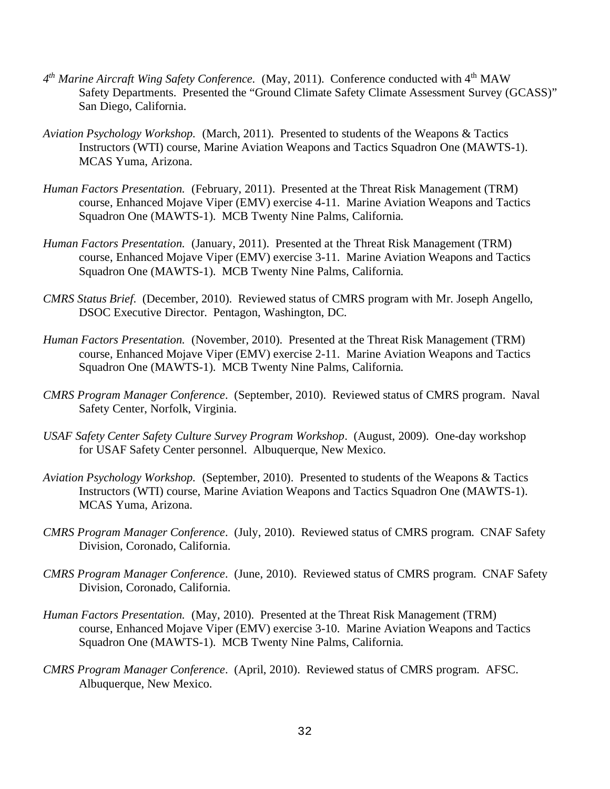- 4<sup>th</sup> Marine Aircraft Wing Safety Conference. (May, 2011). Conference conducted with 4<sup>th</sup> MAW Safety Departments. Presented the "Ground Climate Safety Climate Assessment Survey (GCASS)" San Diego, California.
- *Aviation Psychology Workshop.* (March, 2011). Presented to students of the Weapons & Tactics Instructors (WTI) course, Marine Aviation Weapons and Tactics Squadron One (MAWTS-1). MCAS Yuma, Arizona.
- *Human Factors Presentation.* (February, 2011). Presented at the Threat Risk Management (TRM) course, Enhanced Mojave Viper (EMV) exercise 4-11. Marine Aviation Weapons and Tactics Squadron One (MAWTS-1). MCB Twenty Nine Palms, California.
- *Human Factors Presentation.* (January, 2011). Presented at the Threat Risk Management (TRM) course, Enhanced Mojave Viper (EMV) exercise 3-11. Marine Aviation Weapons and Tactics Squadron One (MAWTS-1). MCB Twenty Nine Palms, California.
- *CMRS Status Brief*. (December, 2010). Reviewed status of CMRS program with Mr. Joseph Angello, DSOC Executive Director. Pentagon, Washington, DC.
- *Human Factors Presentation.* (November, 2010). Presented at the Threat Risk Management (TRM) course, Enhanced Mojave Viper (EMV) exercise 2-11. Marine Aviation Weapons and Tactics Squadron One (MAWTS-1). MCB Twenty Nine Palms, California.
- *CMRS Program Manager Conference*. (September, 2010). Reviewed status of CMRS program. Naval Safety Center, Norfolk, Virginia.
- *USAF Safety Center Safety Culture Survey Program Workshop*. (August, 2009). One-day workshop for USAF Safety Center personnel. Albuquerque, New Mexico.
- *Aviation Psychology Workshop.* (September, 2010). Presented to students of the Weapons & Tactics Instructors (WTI) course, Marine Aviation Weapons and Tactics Squadron One (MAWTS-1). MCAS Yuma, Arizona.
- *CMRS Program Manager Conference*. (July, 2010). Reviewed status of CMRS program. CNAF Safety Division, Coronado, California.
- *CMRS Program Manager Conference*. (June, 2010). Reviewed status of CMRS program. CNAF Safety Division, Coronado, California.
- *Human Factors Presentation.* (May, 2010). Presented at the Threat Risk Management (TRM) course, Enhanced Mojave Viper (EMV) exercise 3-10. Marine Aviation Weapons and Tactics Squadron One (MAWTS-1). MCB Twenty Nine Palms, California.
- *CMRS Program Manager Conference*. (April, 2010). Reviewed status of CMRS program. AFSC. Albuquerque, New Mexico.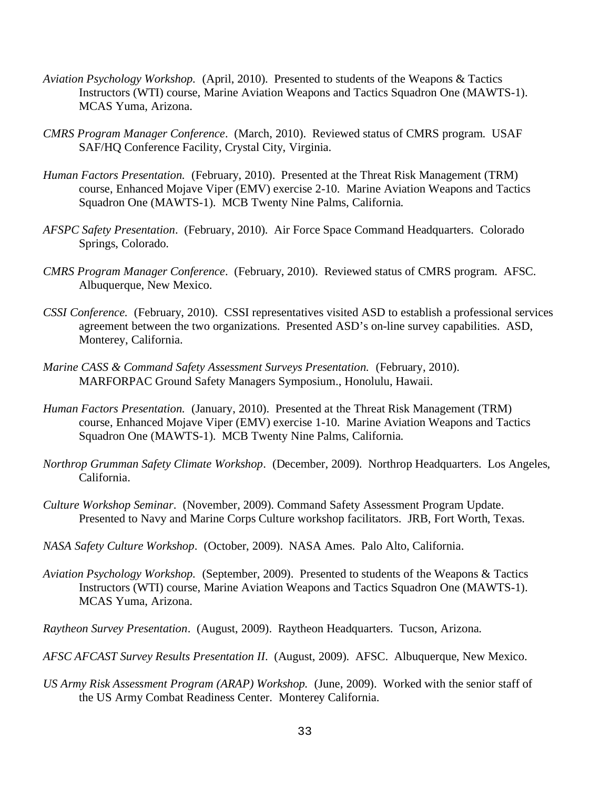- *Aviation Psychology Workshop.* (April, 2010). Presented to students of the Weapons & Tactics Instructors (WTI) course, Marine Aviation Weapons and Tactics Squadron One (MAWTS-1). MCAS Yuma, Arizona.
- *CMRS Program Manager Conference*. (March, 2010). Reviewed status of CMRS program. USAF SAF/HQ Conference Facility, Crystal City, Virginia.
- *Human Factors Presentation.* (February, 2010). Presented at the Threat Risk Management (TRM) course, Enhanced Mojave Viper (EMV) exercise 2-10. Marine Aviation Weapons and Tactics Squadron One (MAWTS-1). MCB Twenty Nine Palms, California.
- *AFSPC Safety Presentation*. (February, 2010). Air Force Space Command Headquarters. Colorado Springs, Colorado.
- *CMRS Program Manager Conference*. (February, 2010). Reviewed status of CMRS program. AFSC. Albuquerque, New Mexico.
- *CSSI Conference.* (February, 2010). CSSI representatives visited ASD to establish a professional services agreement between the two organizations. Presented ASD's on-line survey capabilities. ASD, Monterey, California.
- *Marine CASS & Command Safety Assessment Surveys Presentation.* (February, 2010). MARFORPAC Ground Safety Managers Symposium., Honolulu, Hawaii.
- *Human Factors Presentation.* (January, 2010). Presented at the Threat Risk Management (TRM) course, Enhanced Mojave Viper (EMV) exercise 1-10. Marine Aviation Weapons and Tactics Squadron One (MAWTS-1). MCB Twenty Nine Palms, California.
- *Northrop Grumman Safety Climate Workshop*. (December, 2009). Northrop Headquarters. Los Angeles, California.
- *Culture Workshop Seminar*. (November, 2009). Command Safety Assessment Program Update. Presented to Navy and Marine Corps Culture workshop facilitators. JRB, Fort Worth, Texas.
- *NASA Safety Culture Workshop*. (October, 2009). NASA Ames. Palo Alto, California.
- *Aviation Psychology Workshop.* (September, 2009). Presented to students of the Weapons & Tactics Instructors (WTI) course, Marine Aviation Weapons and Tactics Squadron One (MAWTS-1). MCAS Yuma, Arizona.
- *Raytheon Survey Presentation*. (August, 2009). Raytheon Headquarters. Tucson, Arizona.
- *AFSC AFCAST Survey Results Presentation II*. (August, 2009). AFSC. Albuquerque, New Mexico.
- *US Army Risk Assessment Program (ARAP) Workshop.* (June, 2009). Worked with the senior staff of the US Army Combat Readiness Center. Monterey California.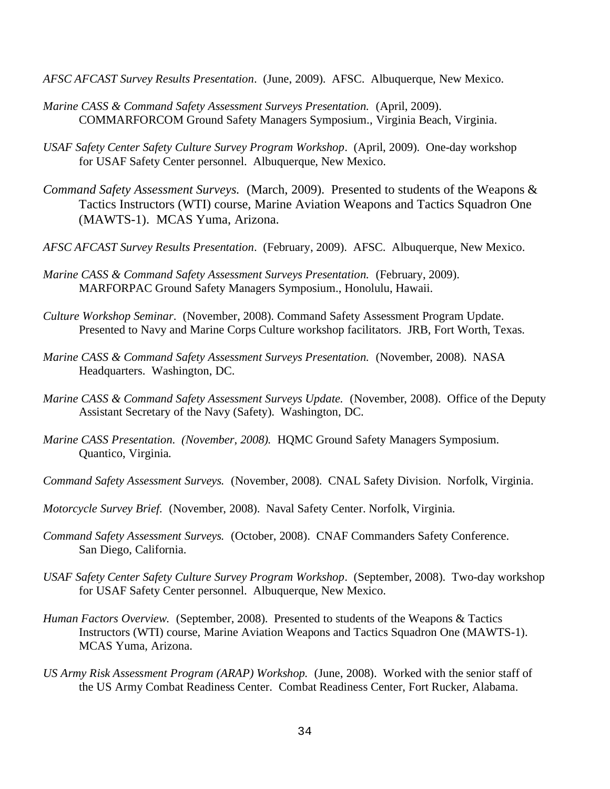- *AFSC AFCAST Survey Results Presentation*. (June, 2009). AFSC. Albuquerque, New Mexico.
- *Marine CASS & Command Safety Assessment Surveys Presentation.* (April, 2009). COMMARFORCOM Ground Safety Managers Symposium., Virginia Beach, Virginia.
- *USAF Safety Center Safety Culture Survey Program Workshop*. (April, 2009). One-day workshop for USAF Safety Center personnel. Albuquerque, New Mexico.
- *Command Safety Assessment Surveys.* (March, 2009). Presented to students of the Weapons & Tactics Instructors (WTI) course, Marine Aviation Weapons and Tactics Squadron One (MAWTS-1). MCAS Yuma, Arizona.
- *AFSC AFCAST Survey Results Presentation*. (February, 2009). AFSC. Albuquerque, New Mexico.
- *Marine CASS & Command Safety Assessment Surveys Presentation.* (February, 2009). MARFORPAC Ground Safety Managers Symposium., Honolulu, Hawaii.
- *Culture Workshop Seminar*. (November, 2008). Command Safety Assessment Program Update. Presented to Navy and Marine Corps Culture workshop facilitators. JRB, Fort Worth, Texas.
- *Marine CASS & Command Safety Assessment Surveys Presentation.* (November, 2008). NASA Headquarters. Washington, DC.
- *Marine CASS & Command Safety Assessment Surveys Update.* (November, 2008). Office of the Deputy Assistant Secretary of the Navy (Safety). Washington, DC.
- *Marine CASS Presentation. (November, 2008).* HQMC Ground Safety Managers Symposium. Quantico, Virginia.
- *Command Safety Assessment Surveys.* (November, 2008). CNAL Safety Division. Norfolk, Virginia.
- *Motorcycle Survey Brief.* (November, 2008). Naval Safety Center. Norfolk, Virginia.
- *Command Safety Assessment Surveys.* (October, 2008). CNAF Commanders Safety Conference. San Diego, California.
- *USAF Safety Center Safety Culture Survey Program Workshop*. (September, 2008). Two-day workshop for USAF Safety Center personnel. Albuquerque, New Mexico.
- *Human Factors Overview.* (September, 2008). Presented to students of the Weapons & Tactics Instructors (WTI) course, Marine Aviation Weapons and Tactics Squadron One (MAWTS-1). MCAS Yuma, Arizona.
- *US Army Risk Assessment Program (ARAP) Workshop.* (June, 2008). Worked with the senior staff of the US Army Combat Readiness Center. Combat Readiness Center, Fort Rucker, Alabama.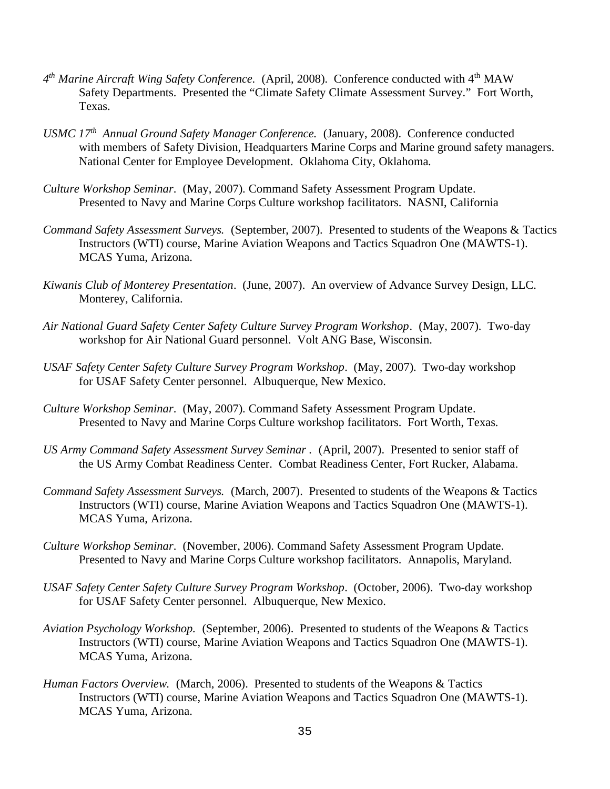- *4th Marine Aircraft Wing Safety Conference.* (April, 2008). Conference conducted with 4th MAW Safety Departments. Presented the "Climate Safety Climate Assessment Survey." Fort Worth, Texas.
- *USMC 17th Annual Ground Safety Manager Conference.* (January, 2008). Conference conducted with members of Safety Division, Headquarters Marine Corps and Marine ground safety managers. National Center for Employee Development. Oklahoma City, Oklahoma.
- *Culture Workshop Seminar*. (May, 2007). Command Safety Assessment Program Update. Presented to Navy and Marine Corps Culture workshop facilitators. NASNI, California
- *Command Safety Assessment Surveys.* (September, 2007). Presented to students of the Weapons & Tactics Instructors (WTI) course, Marine Aviation Weapons and Tactics Squadron One (MAWTS-1). MCAS Yuma, Arizona.
- *Kiwanis Club of Monterey Presentation*. (June, 2007). An overview of Advance Survey Design, LLC. Monterey, California.
- *Air National Guard Safety Center Safety Culture Survey Program Workshop*. (May, 2007). Two-day workshop for Air National Guard personnel. Volt ANG Base, Wisconsin.
- *USAF Safety Center Safety Culture Survey Program Workshop*. (May, 2007). Two-day workshop for USAF Safety Center personnel. Albuquerque, New Mexico.
- *Culture Workshop Seminar*. (May, 2007). Command Safety Assessment Program Update. Presented to Navy and Marine Corps Culture workshop facilitators. Fort Worth, Texas.
- *US Army Command Safety Assessment Survey Seminar .* (April, 2007). Presented to senior staff of the US Army Combat Readiness Center. Combat Readiness Center, Fort Rucker, Alabama.
- *Command Safety Assessment Surveys.* (March, 2007). Presented to students of the Weapons & Tactics Instructors (WTI) course, Marine Aviation Weapons and Tactics Squadron One (MAWTS-1). MCAS Yuma, Arizona.
- *Culture Workshop Seminar*. (November, 2006). Command Safety Assessment Program Update. Presented to Navy and Marine Corps Culture workshop facilitators. Annapolis, Maryland.
- *USAF Safety Center Safety Culture Survey Program Workshop*. (October, 2006). Two-day workshop for USAF Safety Center personnel. Albuquerque, New Mexico.
- *Aviation Psychology Workshop.* (September, 2006). Presented to students of the Weapons & Tactics Instructors (WTI) course, Marine Aviation Weapons and Tactics Squadron One (MAWTS-1). MCAS Yuma, Arizona.
- *Human Factors Overview.* (March, 2006). Presented to students of the Weapons & Tactics Instructors (WTI) course, Marine Aviation Weapons and Tactics Squadron One (MAWTS-1). MCAS Yuma, Arizona.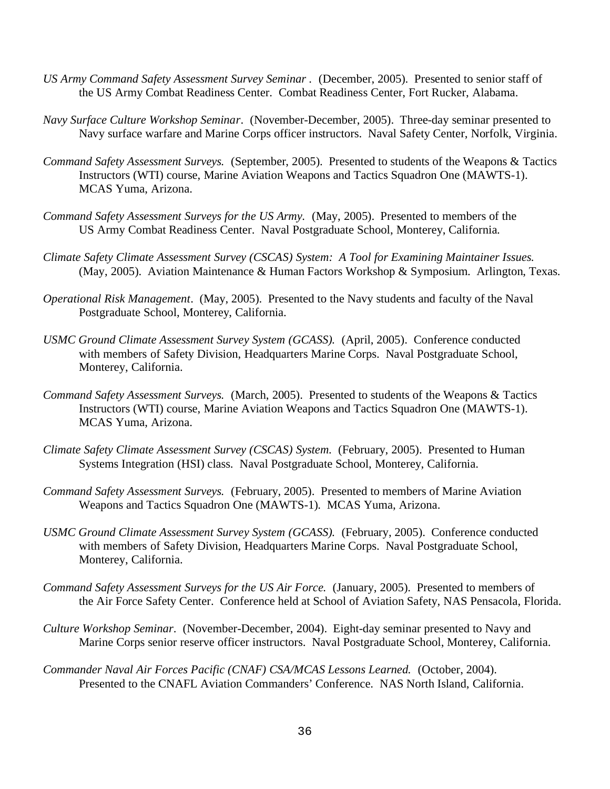- *US Army Command Safety Assessment Survey Seminar .* (December, 2005). Presented to senior staff of the US Army Combat Readiness Center. Combat Readiness Center, Fort Rucker, Alabama.
- *Navy Surface Culture Workshop Seminar*. (November-December, 2005). Three-day seminar presented to Navy surface warfare and Marine Corps officer instructors. Naval Safety Center, Norfolk, Virginia.
- *Command Safety Assessment Surveys.* (September, 2005). Presented to students of the Weapons & Tactics Instructors (WTI) course, Marine Aviation Weapons and Tactics Squadron One (MAWTS-1). MCAS Yuma, Arizona.
- *Command Safety Assessment Surveys for the US Army.* (May, 2005). Presented to members of the US Army Combat Readiness Center. Naval Postgraduate School, Monterey, California.
- *Climate Safety Climate Assessment Survey (CSCAS) System: A Tool for Examining Maintainer Issues.*  (May, 2005). Aviation Maintenance & Human Factors Workshop & Symposium. Arlington, Texas.
- *Operational Risk Management*. (May, 2005). Presented to the Navy students and faculty of the Naval Postgraduate School, Monterey, California.
- *USMC Ground Climate Assessment Survey System (GCASS).* (April, 2005). Conference conducted with members of Safety Division, Headquarters Marine Corps. Naval Postgraduate School, Monterey, California.
- *Command Safety Assessment Surveys.* (March, 2005). Presented to students of the Weapons & Tactics Instructors (WTI) course, Marine Aviation Weapons and Tactics Squadron One (MAWTS-1). MCAS Yuma, Arizona.
- *Climate Safety Climate Assessment Survey (CSCAS) System.* (February, 2005). Presented to Human Systems Integration (HSI) class. Naval Postgraduate School, Monterey, California.
- *Command Safety Assessment Surveys.* (February, 2005). Presented to members of Marine Aviation Weapons and Tactics Squadron One (MAWTS-1). MCAS Yuma, Arizona.
- *USMC Ground Climate Assessment Survey System (GCASS).* (February, 2005). Conference conducted with members of Safety Division, Headquarters Marine Corps. Naval Postgraduate School, Monterey, California.
- *Command Safety Assessment Surveys for the US Air Force.* (January, 2005). Presented to members of the Air Force Safety Center. Conference held at School of Aviation Safety, NAS Pensacola, Florida.
- *Culture Workshop Seminar*. (November-December, 2004). Eight-day seminar presented to Navy and Marine Corps senior reserve officer instructors. Naval Postgraduate School, Monterey, California.
- *Commander Naval Air Forces Pacific (CNAF) CSA/MCAS Lessons Learned.* (October, 2004). Presented to the CNAFL Aviation Commanders' Conference. NAS North Island, California.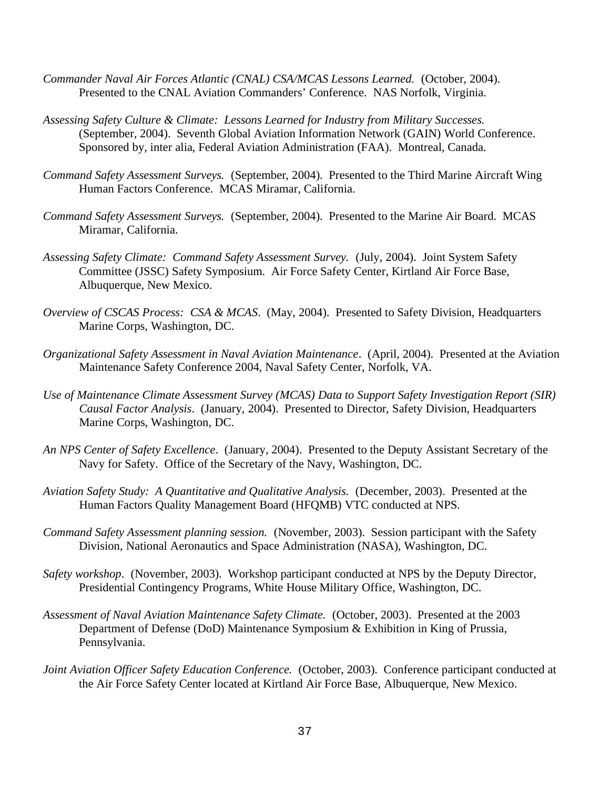- *Commander Naval Air Forces Atlantic (CNAL) CSA/MCAS Lessons Learned.* (October, 2004). Presented to the CNAL Aviation Commanders' Conference. NAS Norfolk, Virginia.
- *Assessing Safety Culture & Climate: Lessons Learned for Industry from Military Successes.* (September, 2004). Seventh Global Aviation Information Network (GAIN) World Conference. Sponsored by, inter alia, Federal Aviation Administration (FAA). Montreal, Canada.
- *Command Safety Assessment Surveys.* (September, 2004). Presented to the Third Marine Aircraft Wing Human Factors Conference. MCAS Miramar, California.
- *Command Safety Assessment Surveys.* (September, 2004). Presented to the Marine Air Board. MCAS Miramar, California.
- *Assessing Safety Climate: Command Safety Assessment Survey.* (July, 2004). Joint System Safety Committee (JSSC) Safety Symposium. Air Force Safety Center, Kirtland Air Force Base, Albuquerque, New Mexico.
- *Overview of CSCAS Process: CSA & MCAS*. (May, 2004). Presented to Safety Division, Headquarters Marine Corps, Washington, DC.
- *Organizational Safety Assessment in Naval Aviation Maintenance*. (April, 2004). Presented at the Aviation Maintenance Safety Conference 2004, Naval Safety Center, Norfolk, VA.
- *Use of Maintenance Climate Assessment Survey (MCAS) Data to Support Safety Investigation Report (SIR) Causal Factor Analysis*. (January, 2004). Presented to Director, Safety Division, Headquarters Marine Corps, Washington, DC.
- *An NPS Center of Safety Excellence*. (January, 2004). Presented to the Deputy Assistant Secretary of the Navy for Safety. Office of the Secretary of the Navy, Washington, DC.
- *Aviation Safety Study: A Quantitative and Qualitative Analysis.* (December, 2003). Presented at the Human Factors Quality Management Board (HFQMB) VTC conducted at NPS.
- *Command Safety Assessment planning session.* (November, 2003). Session participant with the Safety Division, National Aeronautics and Space Administration (NASA), Washington, DC.
- *Safety workshop*. (November, 2003). Workshop participant conducted at NPS by the Deputy Director, Presidential Contingency Programs, White House Military Office, Washington, DC.
- *Assessment of Naval Aviation Maintenance Safety Climate.* (October, 2003). Presented at the 2003 Department of Defense (DoD) Maintenance Symposium & Exhibition in King of Prussia, Pennsylvania.
- *Joint Aviation Officer Safety Education Conference.* (October, 2003). Conference participant conducted at the Air Force Safety Center located at Kirtland Air Force Base, Albuquerque, New Mexico.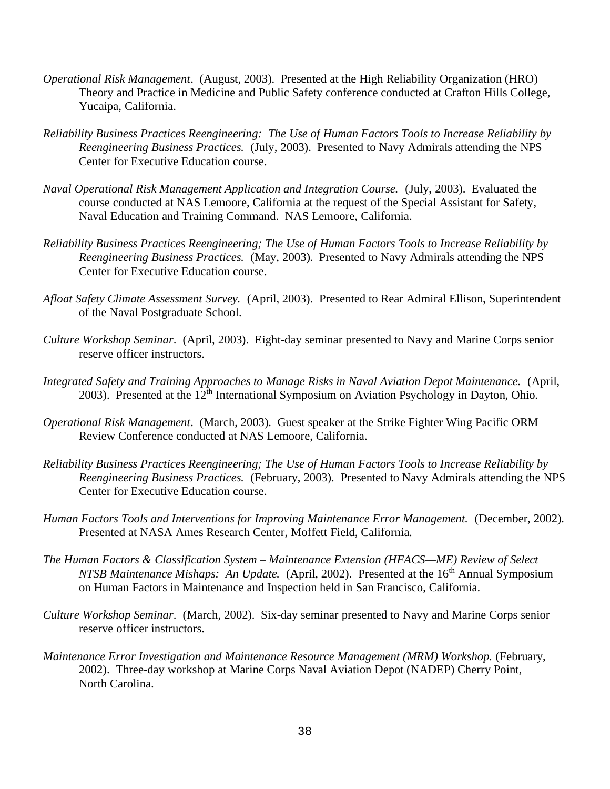- *Operational Risk Management*. (August, 2003). Presented at the High Reliability Organization (HRO) Theory and Practice in Medicine and Public Safety conference conducted at Crafton Hills College, Yucaipa, California.
- *Reliability Business Practices Reengineering: The Use of Human Factors Tools to Increase Reliability by Reengineering Business Practices.* (July, 2003). Presented to Navy Admirals attending the NPS Center for Executive Education course.
- *Naval Operational Risk Management Application and Integration Course.* (July, 2003). Evaluated the course conducted at NAS Lemoore, California at the request of the Special Assistant for Safety, Naval Education and Training Command. NAS Lemoore, California.
- *Reliability Business Practices Reengineering; The Use of Human Factors Tools to Increase Reliability by Reengineering Business Practices.* (May, 2003). Presented to Navy Admirals attending the NPS Center for Executive Education course.
- *Afloat Safety Climate Assessment Survey.* (April, 2003). Presented to Rear Admiral Ellison, Superintendent of the Naval Postgraduate School.
- *Culture Workshop Seminar*. (April, 2003). Eight-day seminar presented to Navy and Marine Corps senior reserve officer instructors.
- *Integrated Safety and Training Approaches to Manage Risks in Naval Aviation Depot Maintenance.* (April, 2003). Presented at the  $12<sup>th</sup>$  International Symposium on Aviation Psychology in Dayton, Ohio.
- *Operational Risk Management*. (March, 2003). Guest speaker at the Strike Fighter Wing Pacific ORM Review Conference conducted at NAS Lemoore, California.
- *Reliability Business Practices Reengineering; The Use of Human Factors Tools to Increase Reliability by Reengineering Business Practices.* (February, 2003). Presented to Navy Admirals attending the NPS Center for Executive Education course.
- *Human Factors Tools and Interventions for Improving Maintenance Error Management.* (December, 2002). Presented at NASA Ames Research Center, Moffett Field, California.
- *The Human Factors & Classification System Maintenance Extension (HFACS—ME) Review of Select NTSB Maintenance Mishaps: An Update.* (April, 2002). Presented at the 16<sup>th</sup> Annual Symposium on Human Factors in Maintenance and Inspection held in San Francisco, California.
- *Culture Workshop Seminar*. (March, 2002). Six-day seminar presented to Navy and Marine Corps senior reserve officer instructors.
- *Maintenance Error Investigation and Maintenance Resource Management (MRM) Workshop.* (February, 2002). Three-day workshop at Marine Corps Naval Aviation Depot (NADEP) Cherry Point, North Carolina.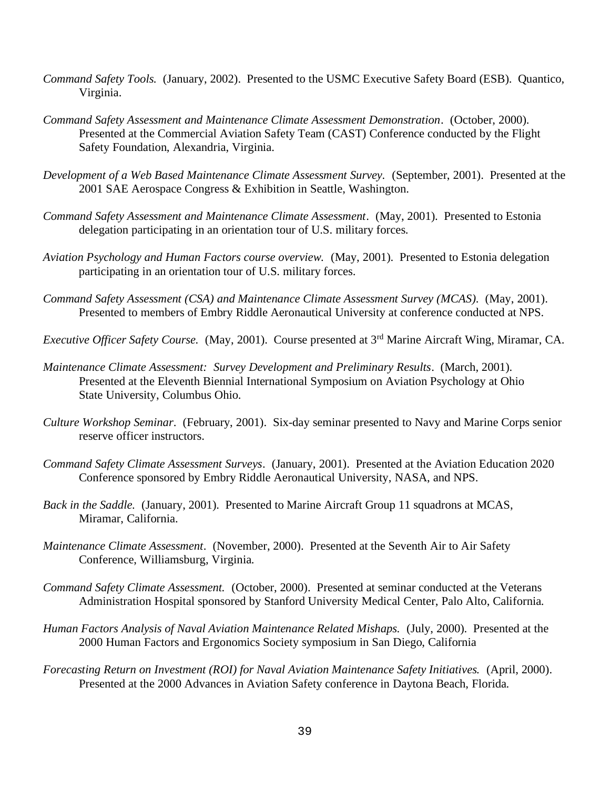- *Command Safety Tools.* (January, 2002). Presented to the USMC Executive Safety Board (ESB). Quantico, Virginia.
- *Command Safety Assessment and Maintenance Climate Assessment Demonstration*. (October, 2000). Presented at the Commercial Aviation Safety Team (CAST) Conference conducted by the Flight Safety Foundation, Alexandria, Virginia.
- *Development of a Web Based Maintenance Climate Assessment Survey.* (September, 2001). Presented at the 2001 SAE Aerospace Congress & Exhibition in Seattle, Washington.
- *Command Safety Assessment and Maintenance Climate Assessment*. (May, 2001). Presented to Estonia delegation participating in an orientation tour of U.S. military forces.
- *Aviation Psychology and Human Factors course overview.* (May, 2001). Presented to Estonia delegation participating in an orientation tour of U.S. military forces.
- *Command Safety Assessment (CSA) and Maintenance Climate Assessment Survey (MCAS).* (May, 2001). Presented to members of Embry Riddle Aeronautical University at conference conducted at NPS.
- *Executive Officer Safety Course.* (May, 2001). Course presented at 3rd Marine Aircraft Wing, Miramar, CA.
- *Maintenance Climate Assessment: Survey Development and Preliminary Results*. (March, 2001). Presented at the Eleventh Biennial International Symposium on Aviation Psychology at Ohio State University, Columbus Ohio.
- *Culture Workshop Seminar*. (February, 2001). Six-day seminar presented to Navy and Marine Corps senior reserve officer instructors.
- *Command Safety Climate Assessment Surveys*. (January, 2001). Presented at the Aviation Education 2020 Conference sponsored by Embry Riddle Aeronautical University, NASA, and NPS.
- *Back in the Saddle.* (January, 2001). Presented to Marine Aircraft Group 11 squadrons at MCAS, Miramar, California.
- *Maintenance Climate Assessment*. (November, 2000). Presented at the Seventh Air to Air Safety Conference, Williamsburg, Virginia.
- *Command Safety Climate Assessment.* (October, 2000). Presented at seminar conducted at the Veterans Administration Hospital sponsored by Stanford University Medical Center, Palo Alto, California.
- *Human Factors Analysis of Naval Aviation Maintenance Related Mishaps.* (July, 2000). Presented at the 2000 Human Factors and Ergonomics Society symposium in San Diego, California
- *Forecasting Return on Investment (ROI) for Naval Aviation Maintenance Safety Initiatives.* (April, 2000). Presented at the 2000 Advances in Aviation Safety conference in Daytona Beach, Florida.